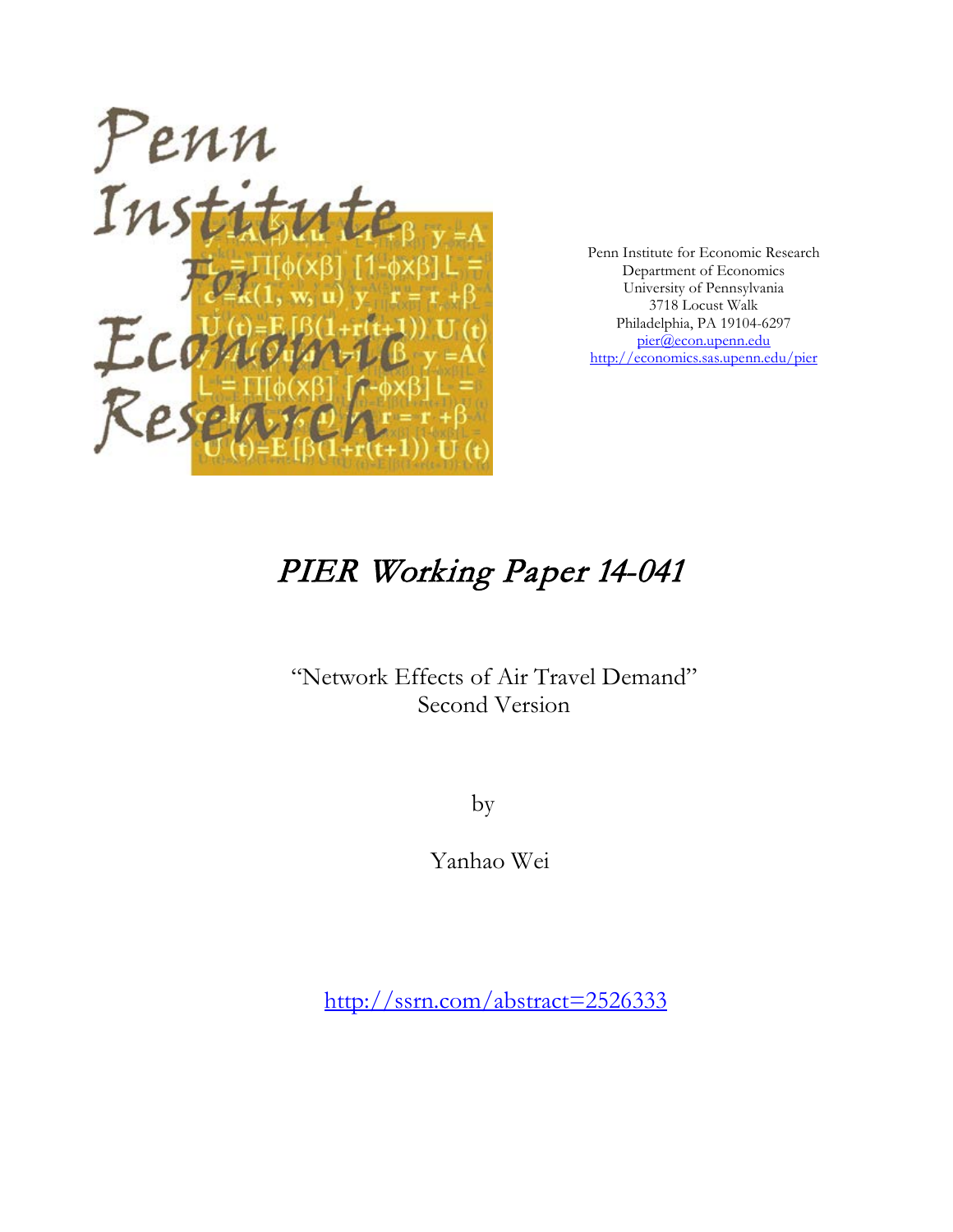

Penn Institute for Economic Research Department of Economics University of Pennsylvania 3718 Locust Walk Philadelphia, PA 19104-6297 [pier@econ.upenn.edu](mailto:pier@econ.upenn.edu) <http://economics.sas.upenn.edu/pier>

# PIER Working Paper 14-041

# "Network Effects of Air Travel Demand" Second Version

by

Yanhao Wei

[http://ssrn.com/abstract=2](http://ssrn.com/abstract_id=)526333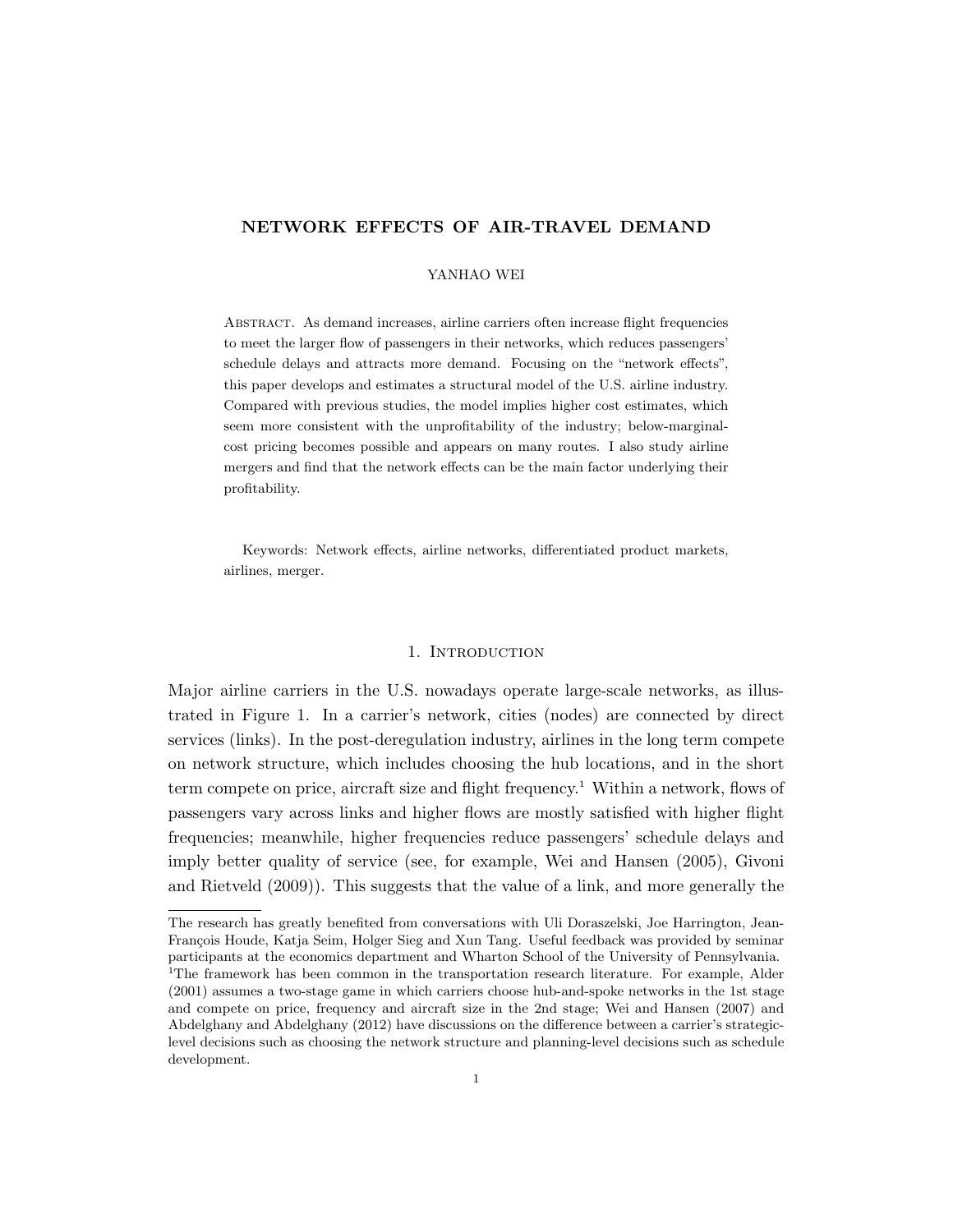# NETWORK EFFECTS OF AIR-TRAVEL DEMAND

### YANHAO WEI

Abstract. As demand increases, airline carriers often increase flight frequencies to meet the larger flow of passengers in their networks, which reduces passengers' schedule delays and attracts more demand. Focusing on the "network effects", this paper develops and estimates a structural model of the U.S. airline industry. Compared with previous studies, the model implies higher cost estimates, which seem more consistent with the unprofitability of the industry; below-marginalcost pricing becomes possible and appears on many routes. I also study airline mergers and find that the network effects can be the main factor underlying their profitability.

Keywords: Network effects, airline networks, differentiated product markets, airlines, merger.

#### 1. INTRODUCTION

Major airline carriers in the U.S. nowadays operate large-scale networks, as illustrated in Figure 1. In a carrier's network, cities (nodes) are connected by direct services (links). In the post-deregulation industry, airlines in the long term compete on network structure, which includes choosing the hub locations, and in the short term compete on price, aircraft size and flight frequency.<sup>1</sup> Within a network, flows of passengers vary across links and higher flows are mostly satisfied with higher flight frequencies; meanwhile, higher frequencies reduce passengers' schedule delays and imply better quality of service (see, for example, Wei and Hansen (2005), Givoni and Rietveld (2009)). This suggests that the value of a link, and more generally the

The research has greatly benefited from conversations with Uli Doraszelski, Joe Harrington, Jean-François Houde, Katja Seim, Holger Sieg and Xun Tang. Useful feedback was provided by seminar participants at the economics department and Wharton School of the University of Pennsylvania. <sup>1</sup>The framework has been common in the transportation research literature. For example, Alder (2001) assumes a two-stage game in which carriers choose hub-and-spoke networks in the 1st stage and compete on price, frequency and aircraft size in the 2nd stage; Wei and Hansen (2007) and Abdelghany and Abdelghany (2012) have discussions on the difference between a carrier's strategiclevel decisions such as choosing the network structure and planning-level decisions such as schedule development.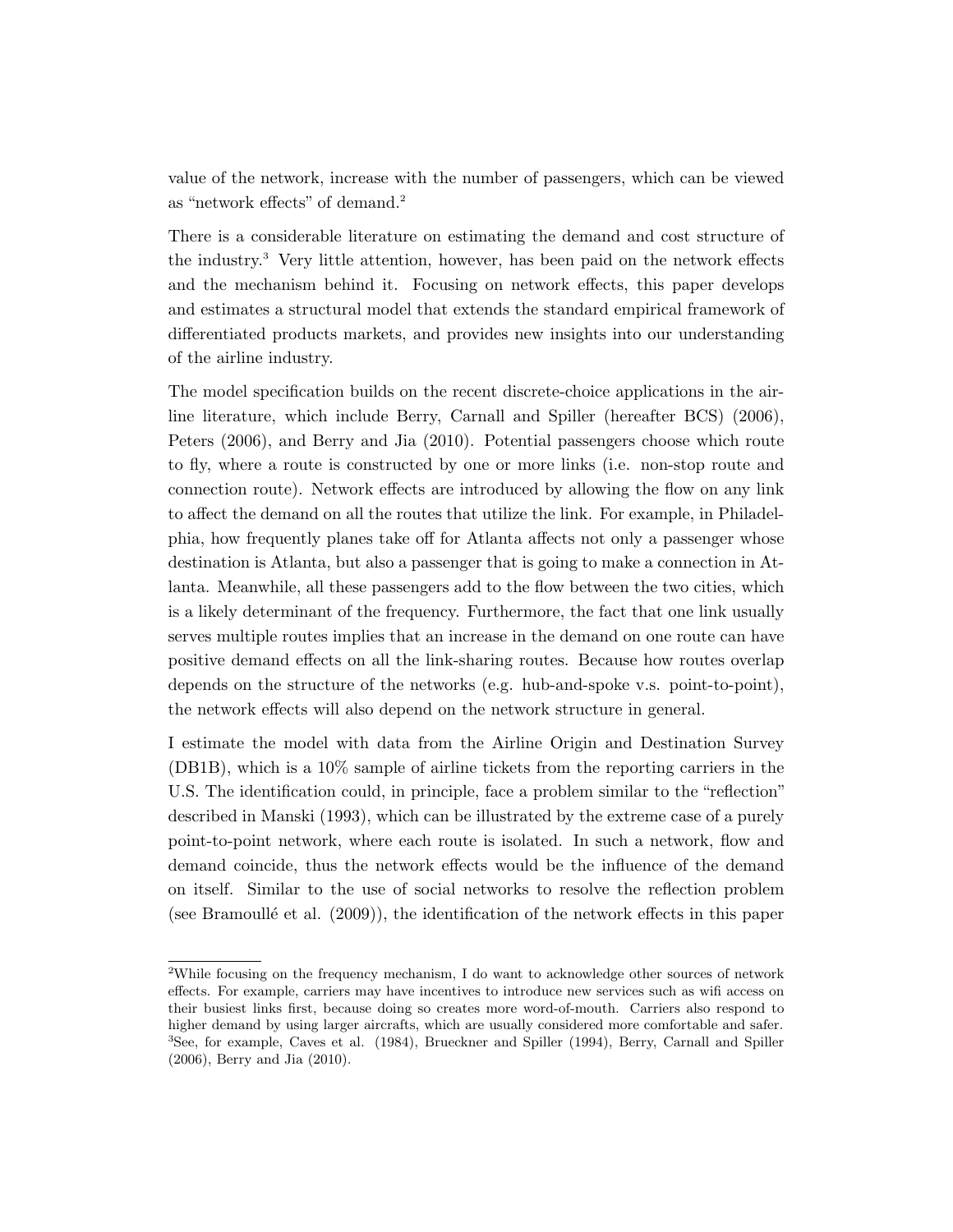value of the network, increase with the number of passengers, which can be viewed as "network effects" of demand.<sup>2</sup>

There is a considerable literature on estimating the demand and cost structure of the industry.<sup>3</sup> Very little attention, however, has been paid on the network effects and the mechanism behind it. Focusing on network effects, this paper develops and estimates a structural model that extends the standard empirical framework of differentiated products markets, and provides new insights into our understanding of the airline industry.

The model specification builds on the recent discrete-choice applications in the airline literature, which include Berry, Carnall and Spiller (hereafter BCS) (2006), Peters (2006), and Berry and Jia (2010). Potential passengers choose which route to fly, where a route is constructed by one or more links (i.e. non-stop route and connection route). Network effects are introduced by allowing the flow on any link to affect the demand on all the routes that utilize the link. For example, in Philadelphia, how frequently planes take off for Atlanta affects not only a passenger whose destination is Atlanta, but also a passenger that is going to make a connection in Atlanta. Meanwhile, all these passengers add to the flow between the two cities, which is a likely determinant of the frequency. Furthermore, the fact that one link usually serves multiple routes implies that an increase in the demand on one route can have positive demand effects on all the link-sharing routes. Because how routes overlap depends on the structure of the networks (e.g. hub-and-spoke v.s. point-to-point), the network effects will also depend on the network structure in general.

I estimate the model with data from the Airline Origin and Destination Survey (DB1B), which is a 10% sample of airline tickets from the reporting carriers in the U.S. The identification could, in principle, face a problem similar to the "reflection" described in Manski (1993), which can be illustrated by the extreme case of a purely point-to-point network, where each route is isolated. In such a network, flow and demand coincide, thus the network effects would be the influence of the demand on itself. Similar to the use of social networks to resolve the reflection problem (see Bramoullé et al.  $(2009)$ ), the identification of the network effects in this paper

<sup>&</sup>lt;sup>2</sup>While focusing on the frequency mechanism, I do want to acknowledge other sources of network effects. For example, carriers may have incentives to introduce new services such as wifi access on their busiest links first, because doing so creates more word-of-mouth. Carriers also respond to higher demand by using larger aircrafts, which are usually considered more comfortable and safer. <sup>3</sup>See, for example, Caves et al. (1984), Brueckner and Spiller (1994), Berry, Carnall and Spiller (2006), Berry and Jia (2010).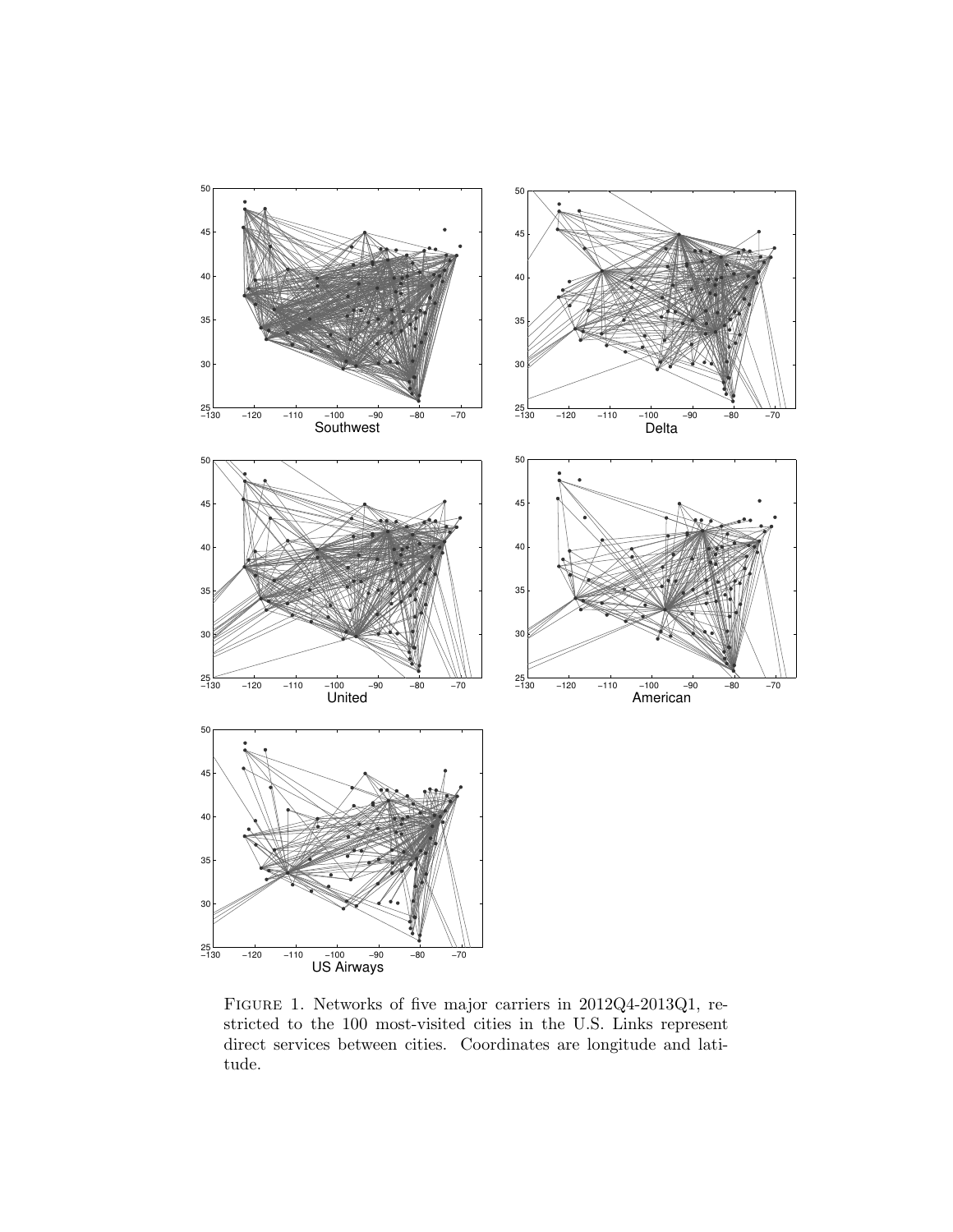

Figure 1. Networks of five major carriers in 2012Q4-2013Q1, restricted to the 100 most-visited cities in the U.S. Links represent direct services between cities. Coordinates are longitude and latitude.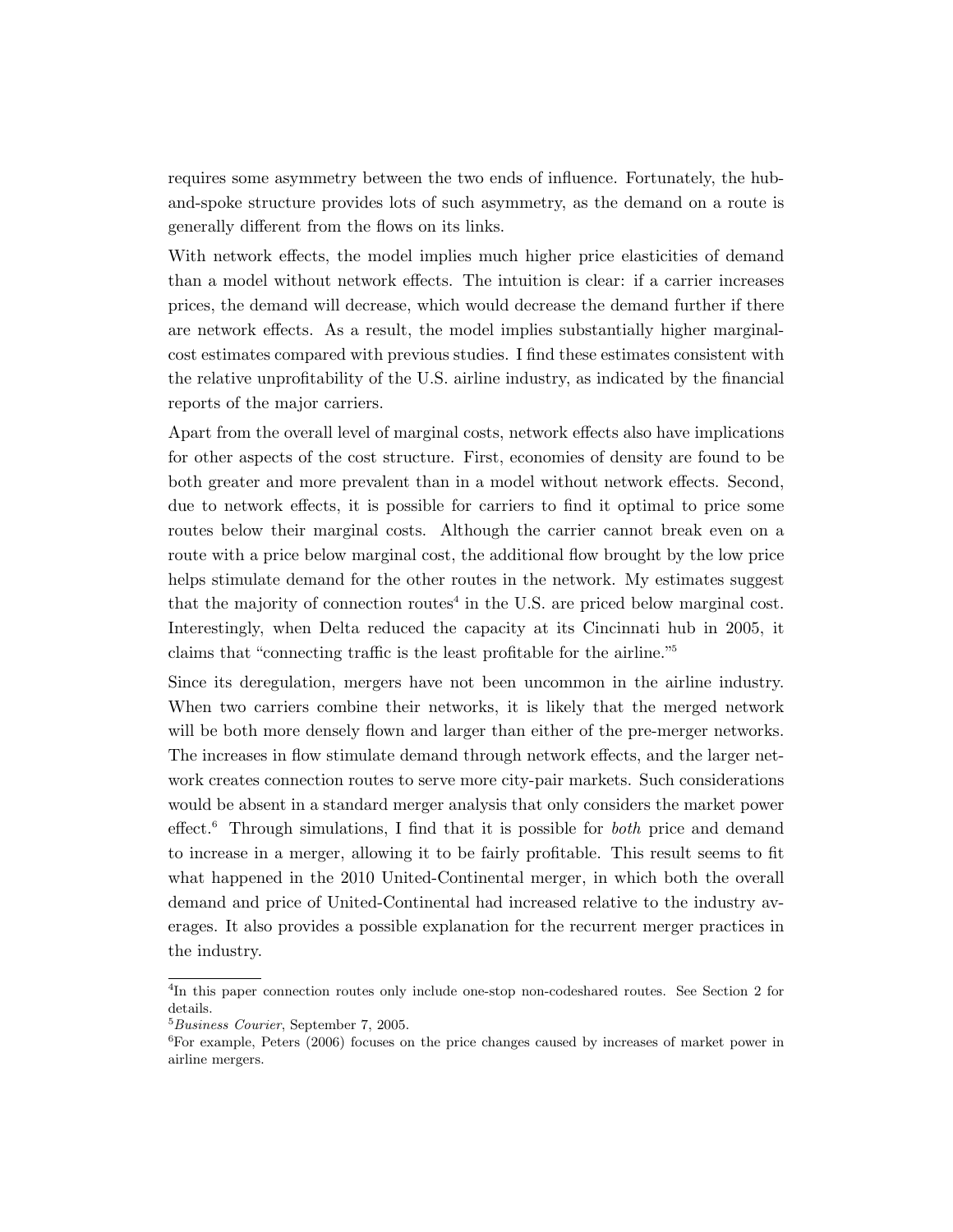requires some asymmetry between the two ends of influence. Fortunately, the huband-spoke structure provides lots of such asymmetry, as the demand on a route is generally different from the flows on its links.

With network effects, the model implies much higher price elasticities of demand than a model without network effects. The intuition is clear: if a carrier increases prices, the demand will decrease, which would decrease the demand further if there are network effects. As a result, the model implies substantially higher marginalcost estimates compared with previous studies. I find these estimates consistent with the relative unprofitability of the U.S. airline industry, as indicated by the financial reports of the major carriers.

Apart from the overall level of marginal costs, network effects also have implications for other aspects of the cost structure. First, economies of density are found to be both greater and more prevalent than in a model without network effects. Second, due to network effects, it is possible for carriers to find it optimal to price some routes below their marginal costs. Although the carrier cannot break even on a route with a price below marginal cost, the additional flow brought by the low price helps stimulate demand for the other routes in the network. My estimates suggest that the majority of connection routes<sup> $4$ </sup> in the U.S. are priced below marginal cost. Interestingly, when Delta reduced the capacity at its Cincinnati hub in 2005, it claims that "connecting traffic is the least profitable for the airline."<sup>5</sup>

Since its deregulation, mergers have not been uncommon in the airline industry. When two carriers combine their networks, it is likely that the merged network will be both more densely flown and larger than either of the pre-merger networks. The increases in flow stimulate demand through network effects, and the larger network creates connection routes to serve more city-pair markets. Such considerations would be absent in a standard merger analysis that only considers the market power effect.<sup>6</sup> Through simulations, I find that it is possible for *both* price and demand to increase in a merger, allowing it to be fairly profitable. This result seems to fit what happened in the 2010 United-Continental merger, in which both the overall demand and price of United-Continental had increased relative to the industry averages. It also provides a possible explanation for the recurrent merger practices in the industry.

<sup>&</sup>lt;sup>4</sup>In this paper connection routes only include one-stop non-codeshared routes. See Section 2 for details.

<sup>5</sup>Business Courier, September 7, 2005.

<sup>6</sup>For example, Peters (2006) focuses on the price changes caused by increases of market power in airline mergers.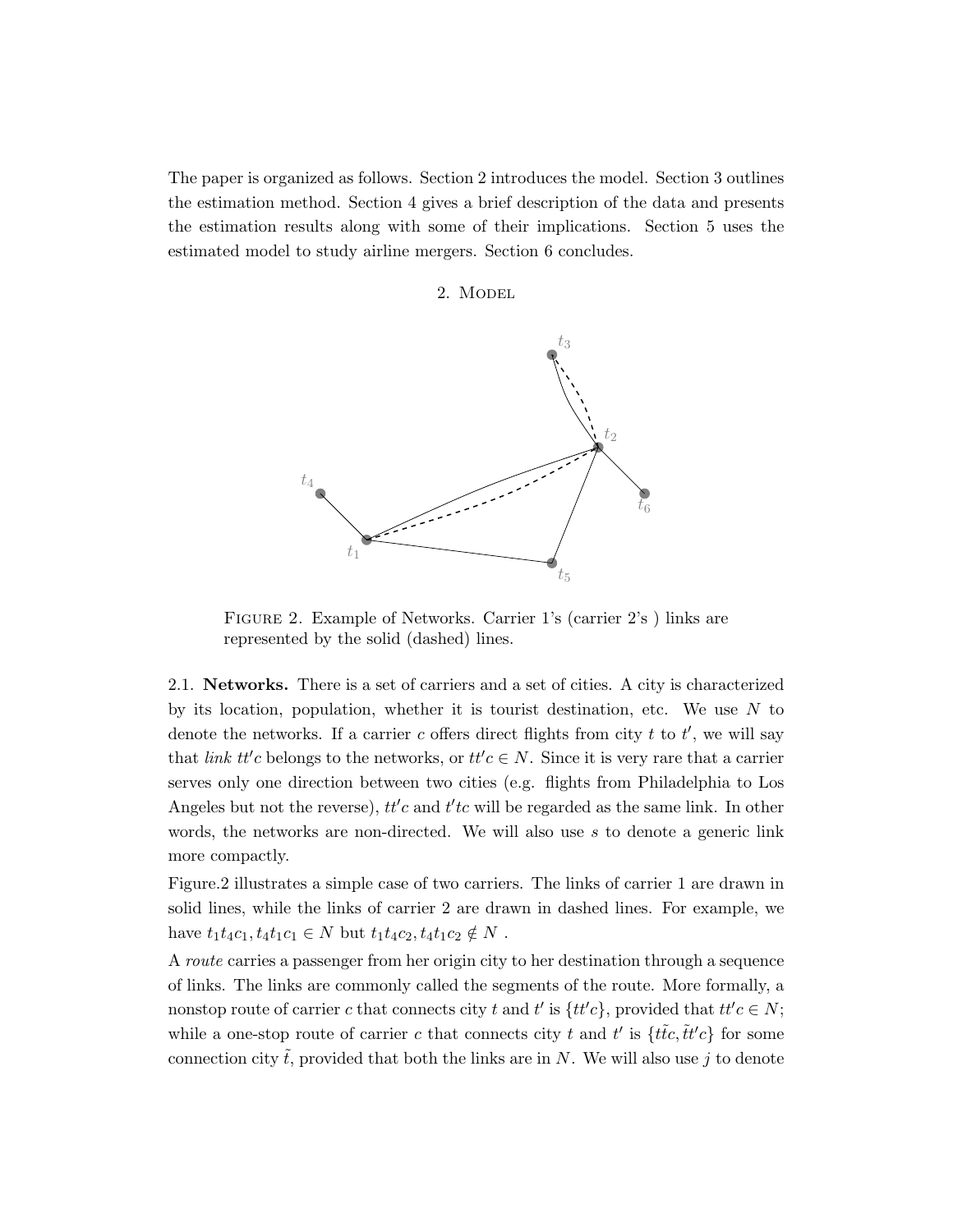The paper is organized as follows. Section 2 introduces the model. Section 3 outlines the estimation method. Section 4 gives a brief description of the data and presents the estimation results along with some of their implications. Section 5 uses the estimated model to study airline mergers. Section 6 concludes.

# 2. Model



Figure 2. Example of Networks. Carrier 1's (carrier 2's ) links are represented by the solid (dashed) lines.

2.1. Networks. There is a set of carriers and a set of cities. A city is characterized by its location, population, whether it is tourist destination, etc. We use  $N$  to denote the networks. If a carrier c offers direct flights from city t to  $t'$ , we will say that *link tt'c* belongs to the networks, or  $tt'c \in N$ . Since it is very rare that a carrier serves only one direction between two cities (e.g. flights from Philadelphia to Los Angeles but not the reverse),  $tt'c$  and  $t'tc$  will be regarded as the same link. In other words, the networks are non-directed. We will also use  $s$  to denote a generic link more compactly.

Figure.2 illustrates a simple case of two carriers. The links of carrier 1 are drawn in solid lines, while the links of carrier 2 are drawn in dashed lines. For example, we have  $t_1t_4c_1, t_4t_1c_1 \in N$  but  $t_1t_4c_2, t_4t_1c_2 \notin N$ .

A route carries a passenger from her origin city to her destination through a sequence of links. The links are commonly called the segments of the route. More formally, a nonstop route of carrier c that connects city t and t' is  $\{tt'c\}$ , provided that  $tt'c \in N$ ; while a one-stop route of carrier c that connects city t and t' is  $\{\tilde{t}\tilde{t}c, \tilde{t}t'c\}$  for some connection city  $\tilde{t}$ , provided that both the links are in N. We will also use j to denote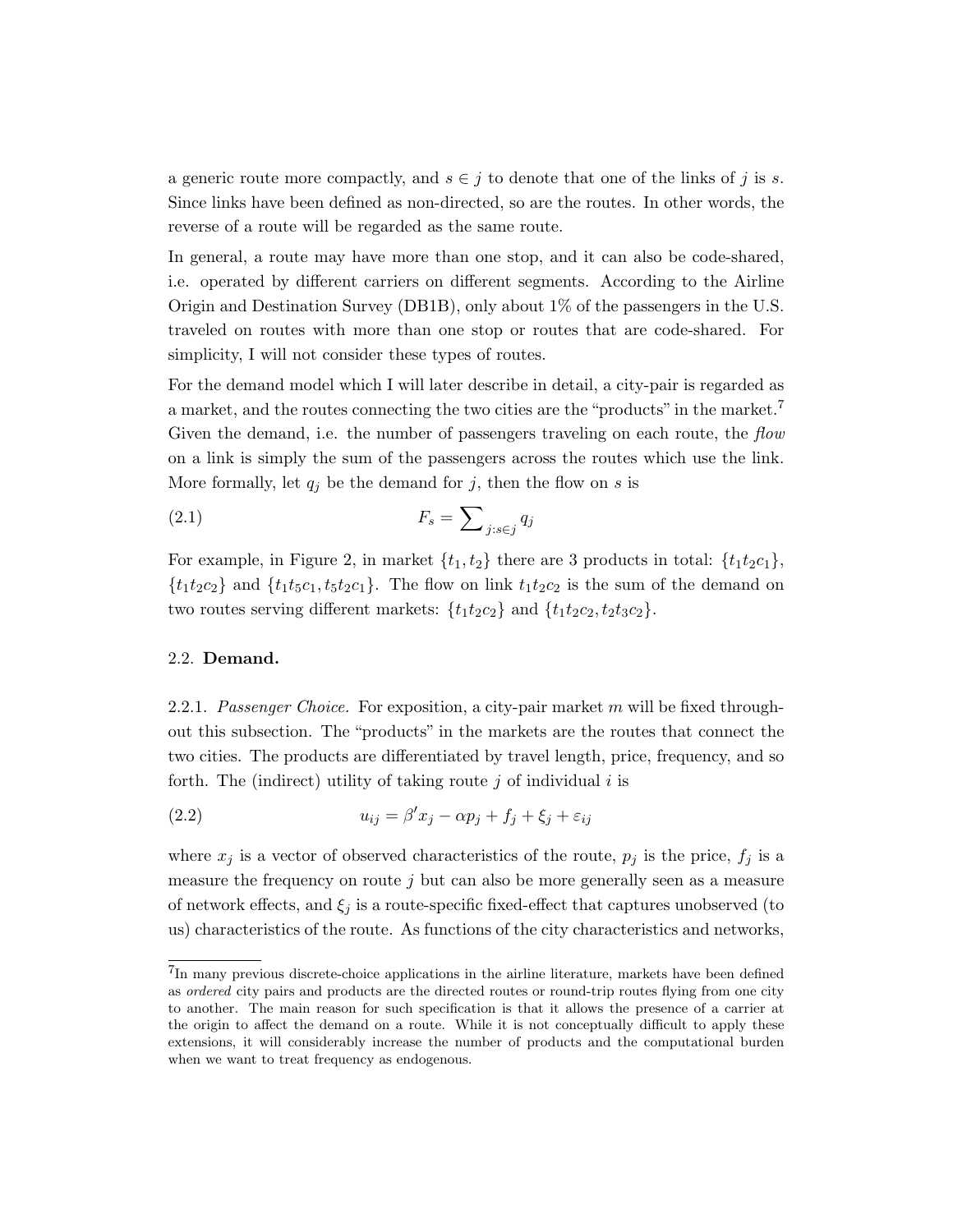a generic route more compactly, and  $s \in j$  to denote that one of the links of j is s. Since links have been defined as non-directed, so are the routes. In other words, the reverse of a route will be regarded as the same route.

In general, a route may have more than one stop, and it can also be code-shared, i.e. operated by different carriers on different segments. According to the Airline Origin and Destination Survey (DB1B), only about 1% of the passengers in the U.S. traveled on routes with more than one stop or routes that are code-shared. For simplicity, I will not consider these types of routes.

For the demand model which I will later describe in detail, a city-pair is regarded as a market, and the routes connecting the two cities are the "products" in the market.<sup>7</sup> Given the demand, i.e. the number of passengers traveling on each route, the flow on a link is simply the sum of the passengers across the routes which use the link. More formally, let  $q_j$  be the demand for j, then the flow on s is

$$
F_s = \sum_{j:s\in j} q_j
$$

For example, in Figure 2, in market  $\{t_1, t_2\}$  there are 3 products in total:  $\{t_1t_2c_1\}$ ,  ${t_1t_2c_2}$  and  ${t_1t_5c_1, t_5t_2c_1}$ . The flow on link  $t_1t_2c_2$  is the sum of the demand on two routes serving different markets:  $\{t_1t_2c_2\}$  and  $\{t_1t_2c_2, t_2t_3c_2\}$ .

# 2.2. Demand.

2.2.1. Passenger Choice. For exposition, a city-pair market m will be fixed throughout this subsection. The "products" in the markets are the routes that connect the two cities. The products are differentiated by travel length, price, frequency, and so forth. The (indirect) utility of taking route  $j$  of individual  $i$  is

(2.2) 
$$
u_{ij} = \beta' x_j - \alpha p_j + f_j + \xi_j + \varepsilon_{ij}
$$

where  $x_j$  is a vector of observed characteristics of the route,  $p_j$  is the price,  $f_j$  is a measure the frequency on route  $j$  but can also be more generally seen as a measure of network effects, and  $\xi_i$  is a route-specific fixed-effect that captures unobserved (to us) characteristics of the route. As functions of the city characteristics and networks,

<sup>&</sup>lt;sup>7</sup>In many previous discrete-choice applications in the airline literature, markets have been defined as ordered city pairs and products are the directed routes or round-trip routes flying from one city to another. The main reason for such specification is that it allows the presence of a carrier at the origin to affect the demand on a route. While it is not conceptually difficult to apply these extensions, it will considerably increase the number of products and the computational burden when we want to treat frequency as endogenous.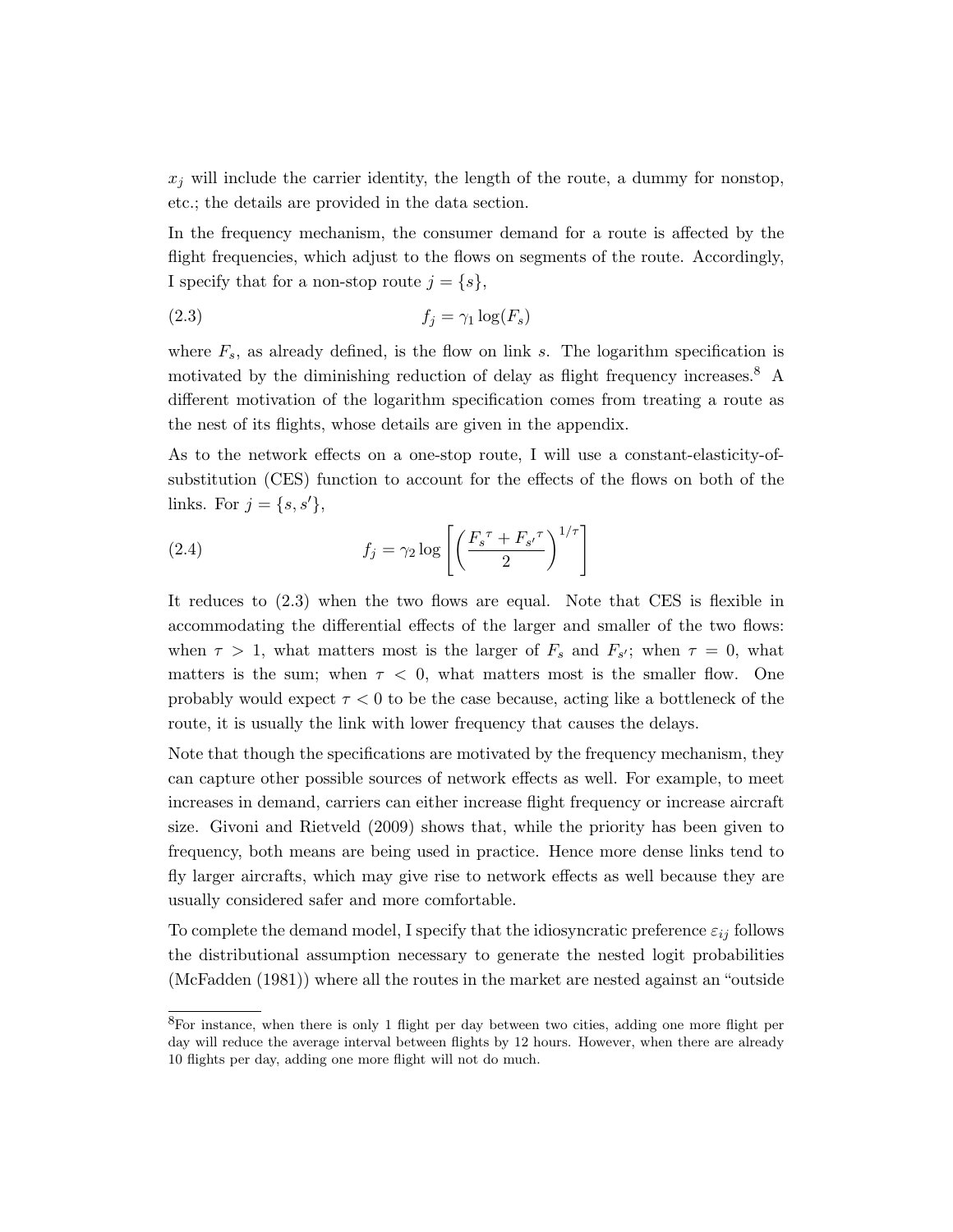$x_j$  will include the carrier identity, the length of the route, a dummy for nonstop, etc.; the details are provided in the data section.

In the frequency mechanism, the consumer demand for a route is affected by the flight frequencies, which adjust to the flows on segments of the route. Accordingly, I specify that for a non-stop route  $j = \{s\},\$ 

$$
(2.3) \t\t f_j = \gamma_1 \log(F_s)
$$

where  $F_s$ , as already defined, is the flow on link s. The logarithm specification is motivated by the diminishing reduction of delay as flight frequency increases.<sup>8</sup> A different motivation of the logarithm specification comes from treating a route as the nest of its flights, whose details are given in the appendix.

As to the network effects on a one-stop route, I will use a constant-elasticity-ofsubstitution (CES) function to account for the effects of the flows on both of the links. For  $j = \{s, s'\},\$ 

(2.4) 
$$
f_j = \gamma_2 \log \left[ \left( \frac{F_s^{\tau} + F_{s'}^{\tau}}{2} \right)^{1/\tau} \right]
$$

It reduces to (2.3) when the two flows are equal. Note that CES is flexible in accommodating the differential effects of the larger and smaller of the two flows: when  $\tau > 1$ , what matters most is the larger of  $F_s$  and  $F_{s'}$ ; when  $\tau = 0$ , what matters is the sum; when  $\tau$  < 0, what matters most is the smaller flow. One probably would expect  $\tau < 0$  to be the case because, acting like a bottleneck of the route, it is usually the link with lower frequency that causes the delays.

Note that though the specifications are motivated by the frequency mechanism, they can capture other possible sources of network effects as well. For example, to meet increases in demand, carriers can either increase flight frequency or increase aircraft size. Givoni and Rietveld (2009) shows that, while the priority has been given to frequency, both means are being used in practice. Hence more dense links tend to fly larger aircrafts, which may give rise to network effects as well because they are usually considered safer and more comfortable.

To complete the demand model, I specify that the idiosyncratic preference  $\varepsilon_{ij}$  follows the distributional assumption necessary to generate the nested logit probabilities (McFadden (1981)) where all the routes in the market are nested against an "outside

<sup>&</sup>lt;sup>8</sup>For instance, when there is only 1 flight per day between two cities, adding one more flight per day will reduce the average interval between flights by 12 hours. However, when there are already 10 flights per day, adding one more flight will not do much.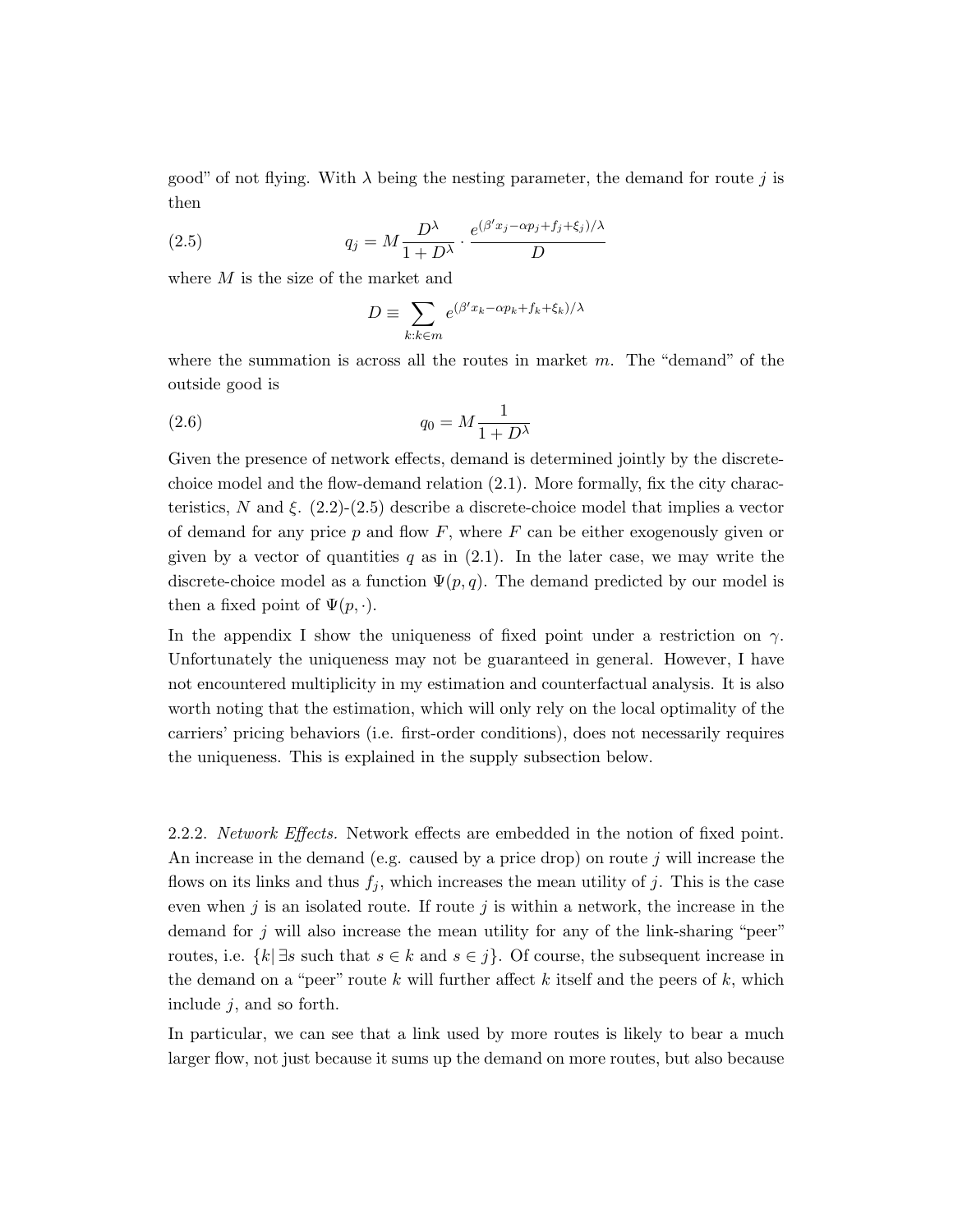good" of not flying. With  $\lambda$  being the nesting parameter, the demand for route j is then

(2.5) 
$$
q_j = M \frac{D^{\lambda}}{1 + D^{\lambda}} \cdot \frac{e^{(\beta' x_j - \alpha p_j + f_j + \xi_j)/\lambda}}{D}
$$

where M is the size of the market and

$$
D \equiv \sum_{k:k \in m} e^{(\beta' x_k - \alpha p_k + f_k + \xi_k)/\lambda}
$$

where the summation is across all the routes in market  $m$ . The "demand" of the outside good is

$$
(2.6) \t\t q_0 = M \frac{1}{1 + D^{\lambda}}
$$

Given the presence of network effects, demand is determined jointly by the discretechoice model and the flow-demand relation (2.1). More formally, fix the city characteristics, N and  $\xi$ . (2.2)-(2.5) describe a discrete-choice model that implies a vector of demand for any price  $p$  and flow  $F$ , where  $F$  can be either exogenously given or given by a vector of quantities q as in  $(2.1)$ . In the later case, we may write the discrete-choice model as a function  $\Psi(p,q)$ . The demand predicted by our model is then a fixed point of  $\Psi(p, \cdot)$ .

In the appendix I show the uniqueness of fixed point under a restriction on  $\gamma$ . Unfortunately the uniqueness may not be guaranteed in general. However, I have not encountered multiplicity in my estimation and counterfactual analysis. It is also worth noting that the estimation, which will only rely on the local optimality of the carriers' pricing behaviors (i.e. first-order conditions), does not necessarily requires the uniqueness. This is explained in the supply subsection below.

2.2.2. Network Effects. Network effects are embedded in the notion of fixed point. An increase in the demand (e.g. caused by a price drop) on route  $j$  will increase the flows on its links and thus  $f_j$ , which increases the mean utility of j. This is the case even when j is an isolated route. If route j is within a network, the increase in the demand for  $j$  will also increase the mean utility for any of the link-sharing "peer" routes, i.e.  $\{k \mid \exists s \text{ such that } s \in k \text{ and } s \in j\}$ . Of course, the subsequent increase in the demand on a "peer" route k will further affect k itself and the peers of  $k$ , which include  $j$ , and so forth.

In particular, we can see that a link used by more routes is likely to bear a much larger flow, not just because it sums up the demand on more routes, but also because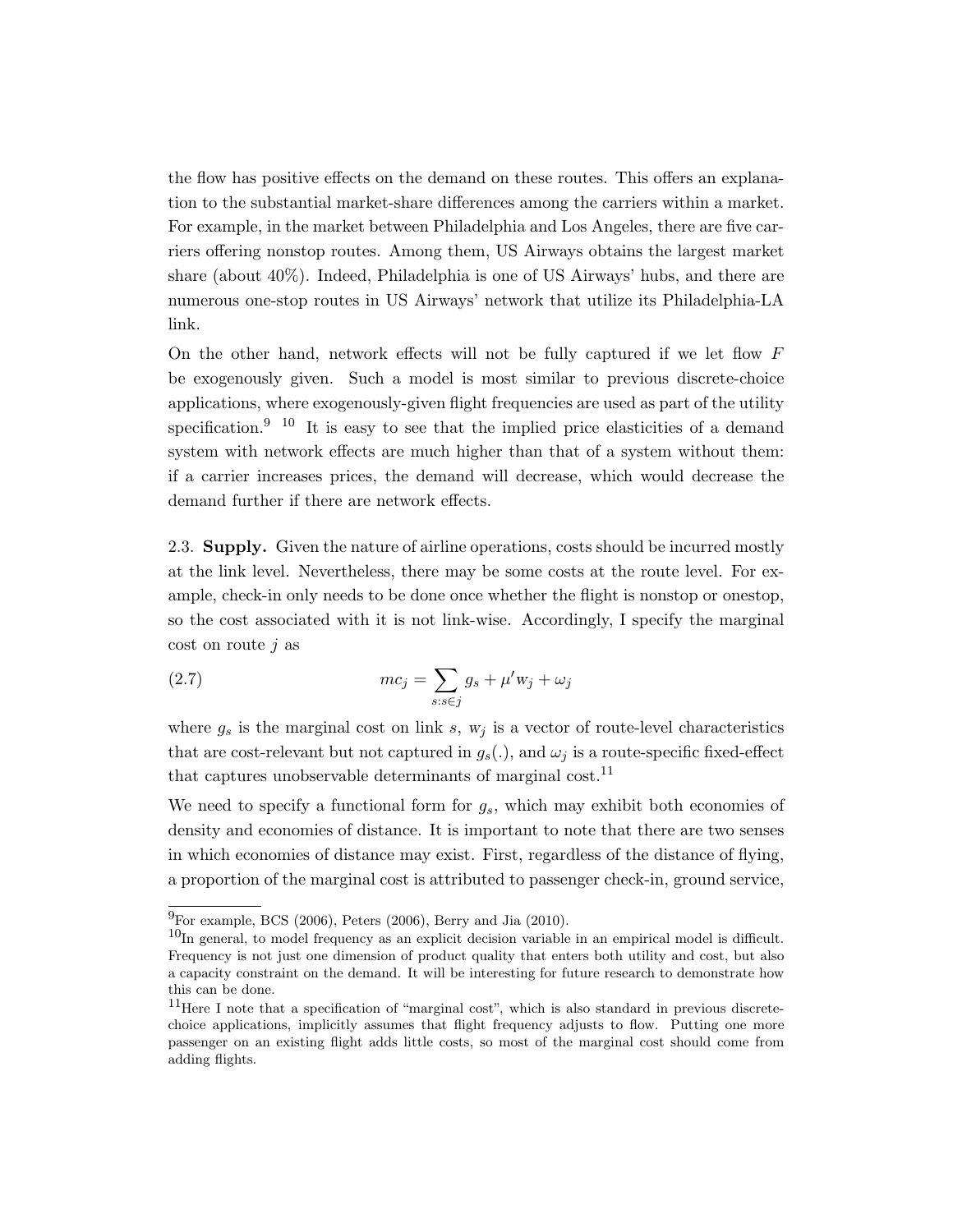the flow has positive effects on the demand on these routes. This offers an explanation to the substantial market-share differences among the carriers within a market. For example, in the market between Philadelphia and Los Angeles, there are five carriers offering nonstop routes. Among them, US Airways obtains the largest market share (about 40%). Indeed, Philadelphia is one of US Airways' hubs, and there are numerous one-stop routes in US Airways' network that utilize its Philadelphia-LA link.

On the other hand, network effects will not be fully captured if we let flow  $F$ be exogenously given. Such a model is most similar to previous discrete-choice applications, where exogenously-given flight frequencies are used as part of the utility specification.<sup>9 10</sup> It is easy to see that the implied price elasticities of a demand system with network effects are much higher than that of a system without them: if a carrier increases prices, the demand will decrease, which would decrease the demand further if there are network effects.

2.3. Supply. Given the nature of airline operations, costs should be incurred mostly at the link level. Nevertheless, there may be some costs at the route level. For example, check-in only needs to be done once whether the flight is nonstop or onestop, so the cost associated with it is not link-wise. Accordingly, I specify the marginal  $\cos t$  on route *j* as

(2.7) 
$$
mc_j = \sum_{s:s\in j} g_s + \mu' w_j + \omega_j
$$

where  $g_s$  is the marginal cost on link s,  $w_i$  is a vector of route-level characteristics that are cost-relevant but not captured in  $g_s(.)$ , and  $\omega_i$  is a route-specific fixed-effect that captures unobservable determinants of marginal cost.<sup>11</sup>

We need to specify a functional form for  $g_s$ , which may exhibit both economies of density and economies of distance. It is important to note that there are two senses in which economies of distance may exist. First, regardless of the distance of flying, a proportion of the marginal cost is attributed to passenger check-in, ground service,

 $^{9}$ For example, BCS (2006), Peters (2006), Berry and Jia (2010).

 $10$ In general, to model frequency as an explicit decision variable in an empirical model is difficult. Frequency is not just one dimension of product quality that enters both utility and cost, but also a capacity constraint on the demand. It will be interesting for future research to demonstrate how this can be done.

 $11$ Here I note that a specification of "marginal cost", which is also standard in previous discretechoice applications, implicitly assumes that flight frequency adjusts to flow. Putting one more passenger on an existing flight adds little costs, so most of the marginal cost should come from adding flights.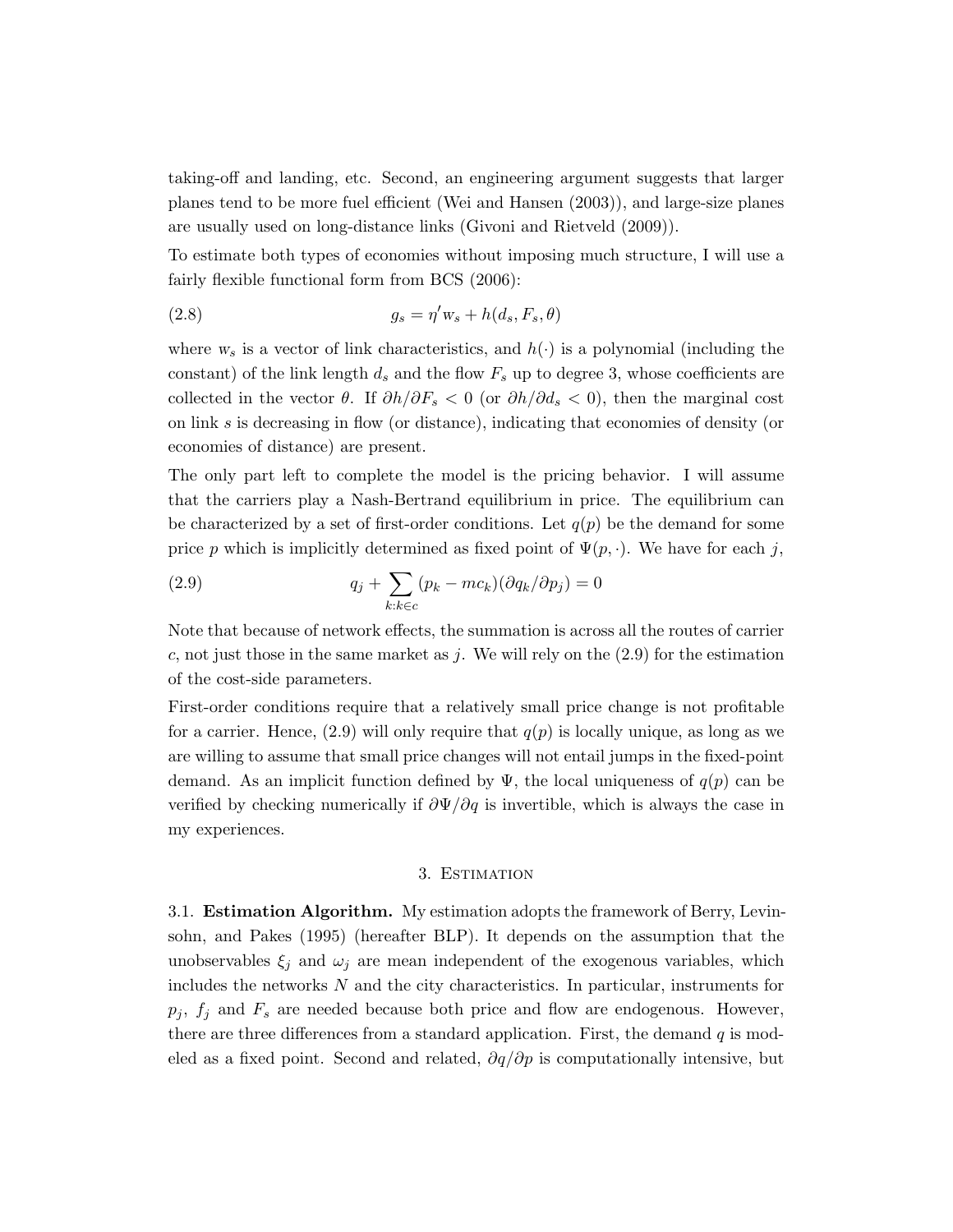taking-off and landing, etc. Second, an engineering argument suggests that larger planes tend to be more fuel efficient (Wei and Hansen (2003)), and large-size planes are usually used on long-distance links (Givoni and Rietveld (2009)).

To estimate both types of economies without imposing much structure, I will use a fairly flexible functional form from BCS (2006):

(2.8) 
$$
g_s = \eta' w_s + h(d_s, F_s, \theta)
$$

where  $w_s$  is a vector of link characteristics, and  $h(\cdot)$  is a polynomial (including the constant) of the link length  $d_s$  and the flow  $F_s$  up to degree 3, whose coefficients are collected in the vector  $\theta$ . If  $\partial h/\partial F_s < 0$  (or  $\partial h/\partial d_s < 0$ ), then the marginal cost on link s is decreasing in flow (or distance), indicating that economies of density (or economies of distance) are present.

The only part left to complete the model is the pricing behavior. I will assume that the carriers play a Nash-Bertrand equilibrium in price. The equilibrium can be characterized by a set of first-order conditions. Let  $q(p)$  be the demand for some price p which is implicitly determined as fixed point of  $\Psi(p, \cdot)$ . We have for each j,

(2.9) 
$$
q_j + \sum_{k:k \in c} (p_k - mc_k)(\partial q_k/\partial p_j) = 0
$$

Note that because of network effects, the summation is across all the routes of carrier c, not just those in the same market as j. We will rely on the  $(2.9)$  for the estimation of the cost-side parameters.

First-order conditions require that a relatively small price change is not profitable for a carrier. Hence,  $(2.9)$  will only require that  $q(p)$  is locally unique, as long as we are willing to assume that small price changes will not entail jumps in the fixed-point demand. As an implicit function defined by  $\Psi$ , the local uniqueness of  $q(p)$  can be verified by checking numerically if  $\partial \Psi / \partial q$  is invertible, which is always the case in my experiences.

### 3. Estimation

3.1. Estimation Algorithm. My estimation adopts the framework of Berry, Levinsohn, and Pakes (1995) (hereafter BLP). It depends on the assumption that the unobservables  $\xi_i$  and  $\omega_i$  are mean independent of the exogenous variables, which includes the networks N and the city characteristics. In particular, instruments for  $p_j$ ,  $f_j$  and  $F_s$  are needed because both price and flow are endogenous. However, there are three differences from a standard application. First, the demand  $q$  is modeled as a fixed point. Second and related,  $\partial q/\partial p$  is computationally intensive, but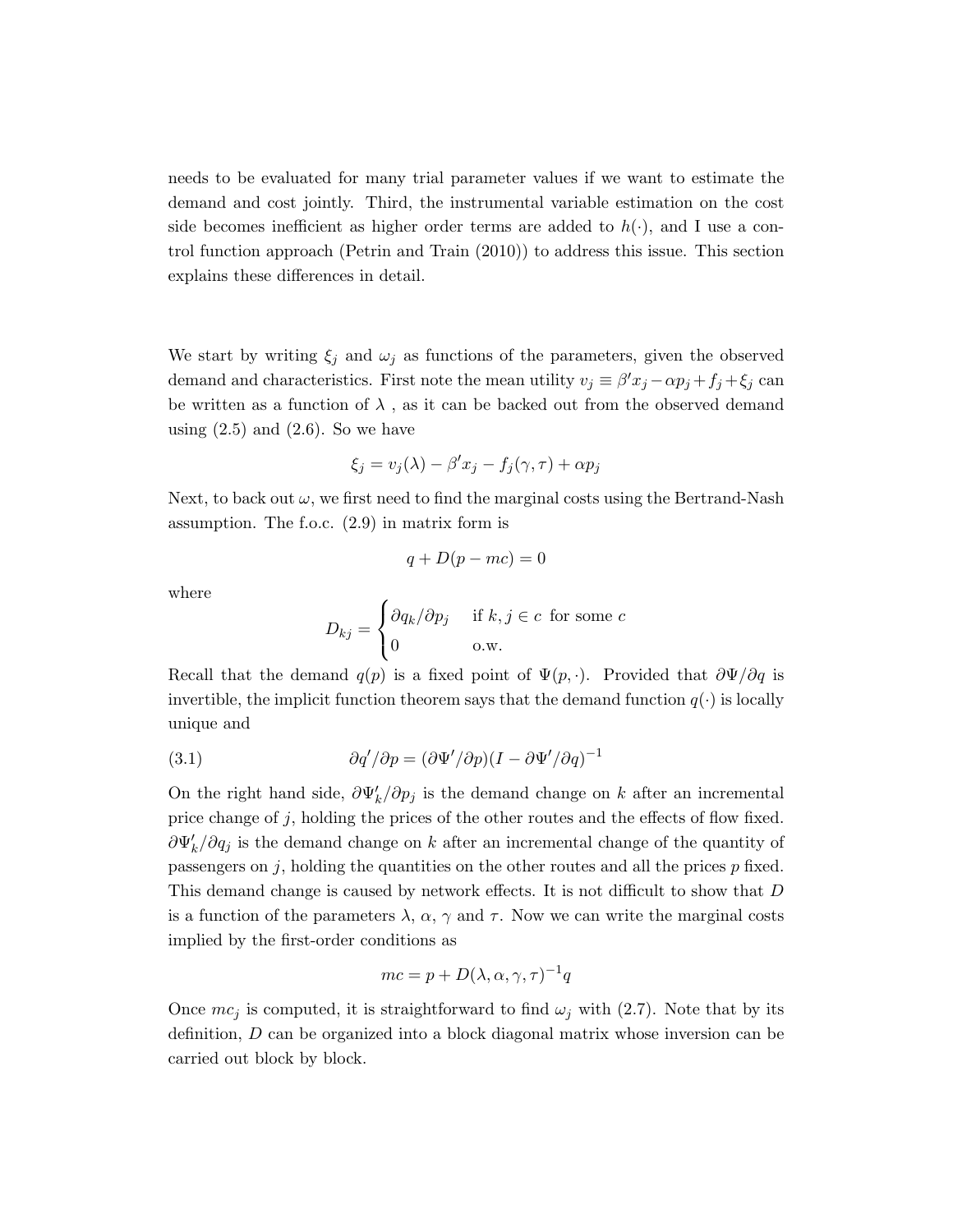needs to be evaluated for many trial parameter values if we want to estimate the demand and cost jointly. Third, the instrumental variable estimation on the cost side becomes inefficient as higher order terms are added to  $h(\cdot)$ , and I use a control function approach (Petrin and Train (2010)) to address this issue. This section explains these differences in detail.

We start by writing  $\xi_j$  and  $\omega_j$  as functions of the parameters, given the observed demand and characteristics. First note the mean utility  $v_j \equiv \beta' x_j - \alpha p_j + f_j + \xi_j$  can be written as a function of  $\lambda$ , as it can be backed out from the observed demand using  $(2.5)$  and  $(2.6)$ . So we have

$$
\xi_j = v_j(\lambda) - \beta' x_j - f_j(\gamma, \tau) + \alpha p_j
$$

Next, to back out  $\omega$ , we first need to find the marginal costs using the Bertrand-Nash assumption. The f.o.c. (2.9) in matrix form is

$$
q + D(p - mc) = 0
$$

where

$$
D_{kj} = \begin{cases} \frac{\partial q_k}{\partial p_j} & \text{if } k, j \in c \text{ for some } c\\ 0 & \text{o.w.} \end{cases}
$$

Recall that the demand  $q(p)$  is a fixed point of  $\Psi(p, \cdot)$ . Provided that  $\partial \Psi/\partial q$  is invertible, the implicit function theorem says that the demand function  $q(\cdot)$  is locally unique and

(3.1) 
$$
\partial q' / \partial p = (\partial \Psi' / \partial p)(I - \partial \Psi' / \partial q)^{-1}
$$

On the right hand side,  $\partial \Psi'_k / \partial p_j$  is the demand change on k after an incremental price change of j, holding the prices of the other routes and the effects of flow fixed.  $\partial \Psi'_{k}/\partial q_{j}$  is the demand change on k after an incremental change of the quantity of passengers on  $j$ , holding the quantities on the other routes and all the prices  $p$  fixed. This demand change is caused by network effects. It is not difficult to show that D is a function of the parameters  $\lambda$ ,  $\alpha$ ,  $\gamma$  and  $\tau$ . Now we can write the marginal costs implied by the first-order conditions as

$$
mc = p + D(\lambda, \alpha, \gamma, \tau)^{-1}q
$$

Once  $mc_j$  is computed, it is straightforward to find  $\omega_j$  with (2.7). Note that by its definition, D can be organized into a block diagonal matrix whose inversion can be carried out block by block.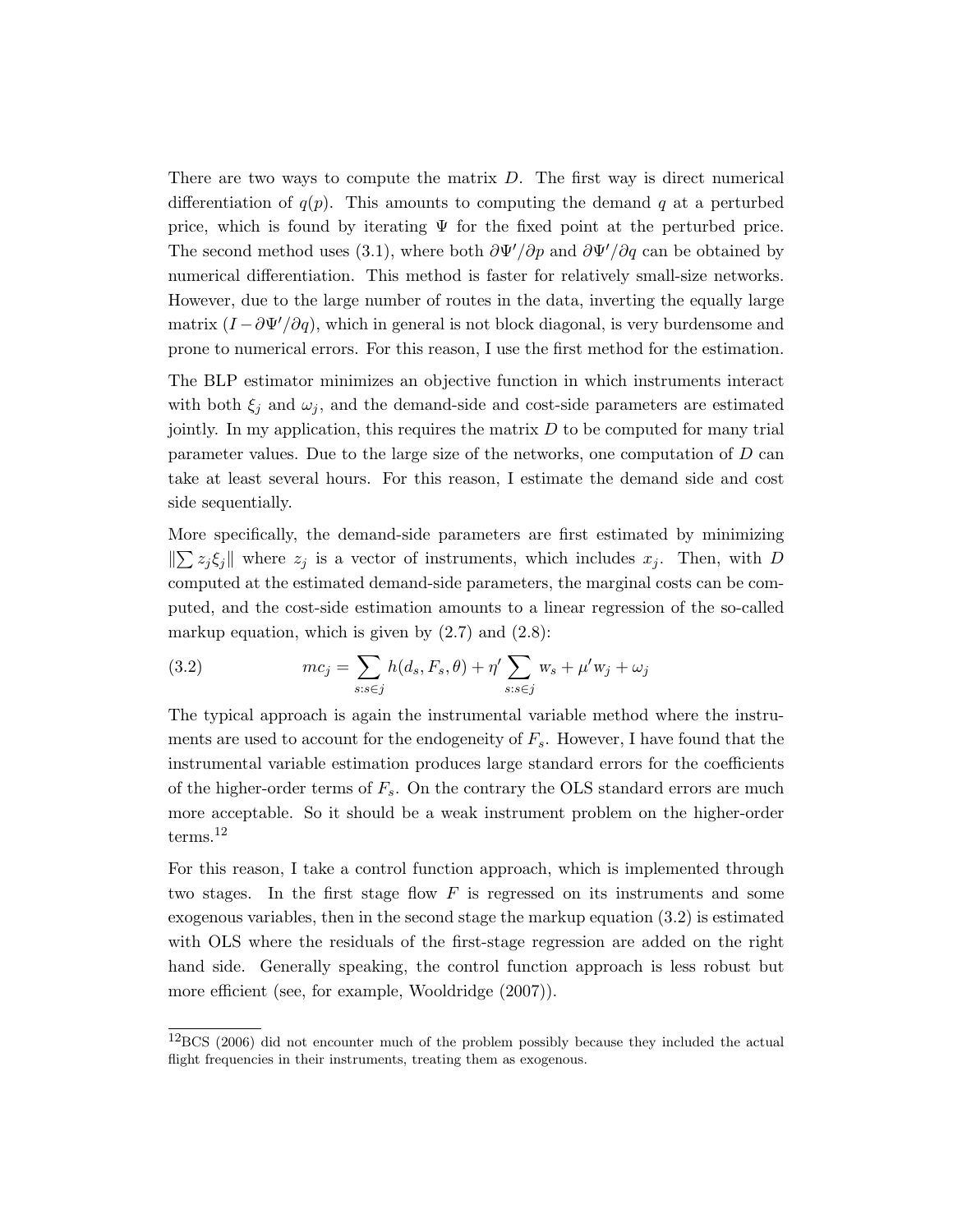There are two ways to compute the matrix  $D$ . The first way is direct numerical differentiation of  $q(p)$ . This amounts to computing the demand q at a perturbed price, which is found by iterating  $\Psi$  for the fixed point at the perturbed price. The second method uses (3.1), where both  $\frac{\partial \Psi'}{\partial p}$  and  $\frac{\partial \Psi'}{\partial q}$  can be obtained by numerical differentiation. This method is faster for relatively small-size networks. However, due to the large number of routes in the data, inverting the equally large matrix  $(I - \partial \Psi'/\partial q)$ , which in general is not block diagonal, is very burdensome and prone to numerical errors. For this reason, I use the first method for the estimation.

The BLP estimator minimizes an objective function in which instruments interact with both  $\xi_j$  and  $\omega_j$ , and the demand-side and cost-side parameters are estimated jointly. In my application, this requires the matrix  $D$  to be computed for many trial parameter values. Due to the large size of the networks, one computation of D can take at least several hours. For this reason, I estimate the demand side and cost side sequentially.

More specifically, the demand-side parameters are first estimated by minimizing  $\|\sum z_j \xi_j\|$  where  $z_j$  is a vector of instruments, which includes  $x_j$ . Then, with D computed at the estimated demand-side parameters, the marginal costs can be computed, and the cost-side estimation amounts to a linear regression of the so-called markup equation, which is given by  $(2.7)$  and  $(2.8)$ :

(3.2) 
$$
mc_j = \sum_{s:s\in j} h(d_s, F_s, \theta) + \eta' \sum_{s:s\in j} w_s + \mu' w_j + \omega_j
$$

The typical approach is again the instrumental variable method where the instruments are used to account for the endogeneity of  $F_s$ . However, I have found that the instrumental variable estimation produces large standard errors for the coefficients of the higher-order terms of  $F_s$ . On the contrary the OLS standard errors are much more acceptable. So it should be a weak instrument problem on the higher-order terms.<sup>12</sup>

For this reason, I take a control function approach, which is implemented through two stages. In the first stage flow  $F$  is regressed on its instruments and some exogenous variables, then in the second stage the markup equation (3.2) is estimated with OLS where the residuals of the first-stage regression are added on the right hand side. Generally speaking, the control function approach is less robust but more efficient (see, for example, Wooldridge (2007)).

 $12$ BCS (2006) did not encounter much of the problem possibly because they included the actual flight frequencies in their instruments, treating them as exogenous.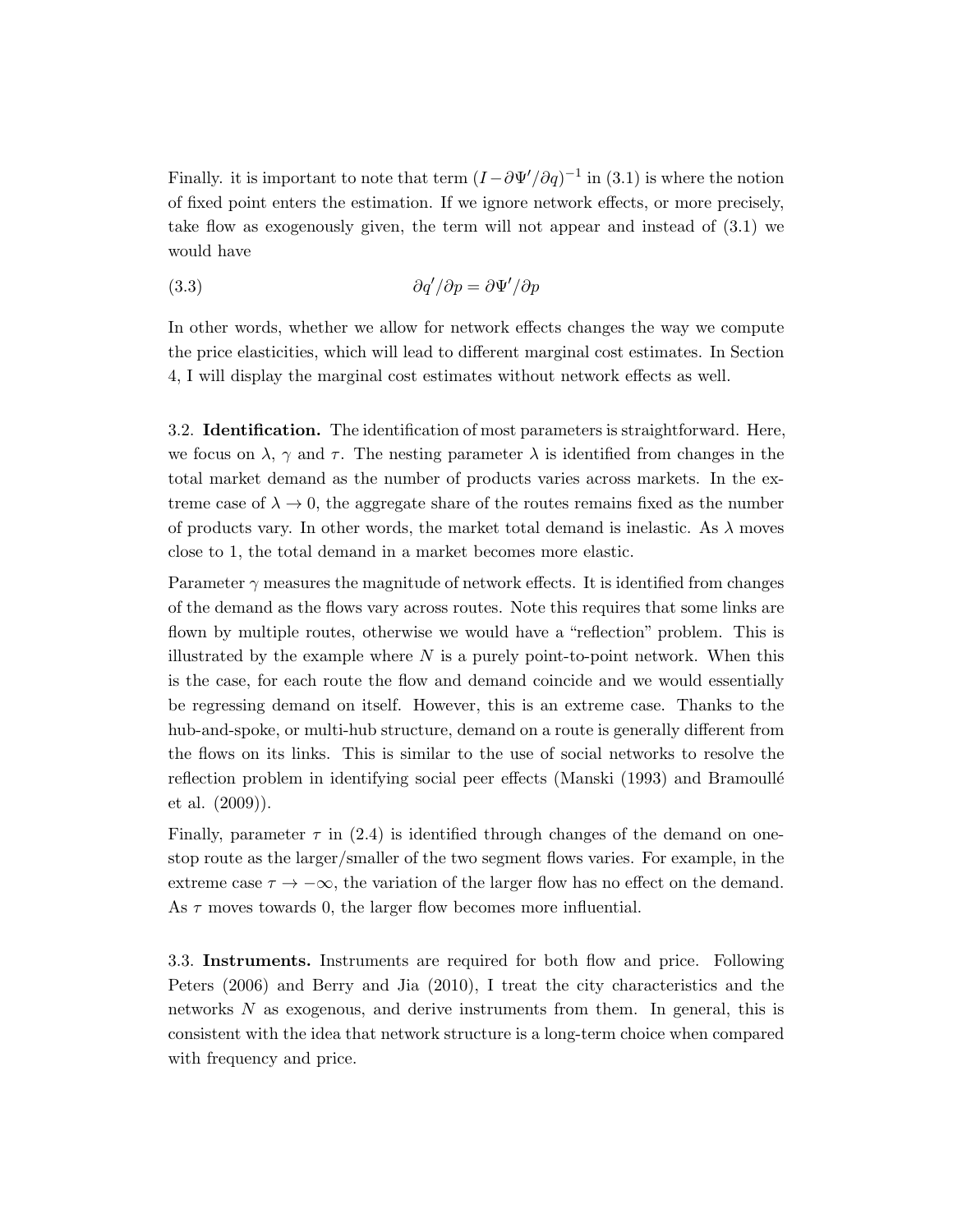Finally. it is important to note that term  $(I - \partial \Psi'/\partial q)^{-1}$  in (3.1) is where the notion of fixed point enters the estimation. If we ignore network effects, or more precisely, take flow as exogenously given, the term will not appear and instead of (3.1) we would have

$$
\frac{\partial q'}{\partial p} = \frac{\partial \Psi'}{\partial p}
$$

In other words, whether we allow for network effects changes the way we compute the price elasticities, which will lead to different marginal cost estimates. In Section 4, I will display the marginal cost estimates without network effects as well.

3.2. Identification. The identification of most parameters is straightforward. Here, we focus on  $\lambda$ ,  $\gamma$  and  $\tau$ . The nesting parameter  $\lambda$  is identified from changes in the total market demand as the number of products varies across markets. In the extreme case of  $\lambda \to 0$ , the aggregate share of the routes remains fixed as the number of products vary. In other words, the market total demand is inelastic. As  $\lambda$  moves close to 1, the total demand in a market becomes more elastic.

Parameter  $\gamma$  measures the magnitude of network effects. It is identified from changes of the demand as the flows vary across routes. Note this requires that some links are flown by multiple routes, otherwise we would have a "reflection" problem. This is illustrated by the example where  $N$  is a purely point-to-point network. When this is the case, for each route the flow and demand coincide and we would essentially be regressing demand on itself. However, this is an extreme case. Thanks to the hub-and-spoke, or multi-hub structure, demand on a route is generally different from the flows on its links. This is similar to the use of social networks to resolve the reflection problem in identifying social peer effects (Manski (1993) and Bramoullé et al. (2009)).

Finally, parameter  $\tau$  in (2.4) is identified through changes of the demand on onestop route as the larger/smaller of the two segment flows varies. For example, in the extreme case  $\tau \to -\infty$ , the variation of the larger flow has no effect on the demand. As  $\tau$  moves towards 0, the larger flow becomes more influential.

3.3. Instruments. Instruments are required for both flow and price. Following Peters (2006) and Berry and Jia (2010), I treat the city characteristics and the networks N as exogenous, and derive instruments from them. In general, this is consistent with the idea that network structure is a long-term choice when compared with frequency and price.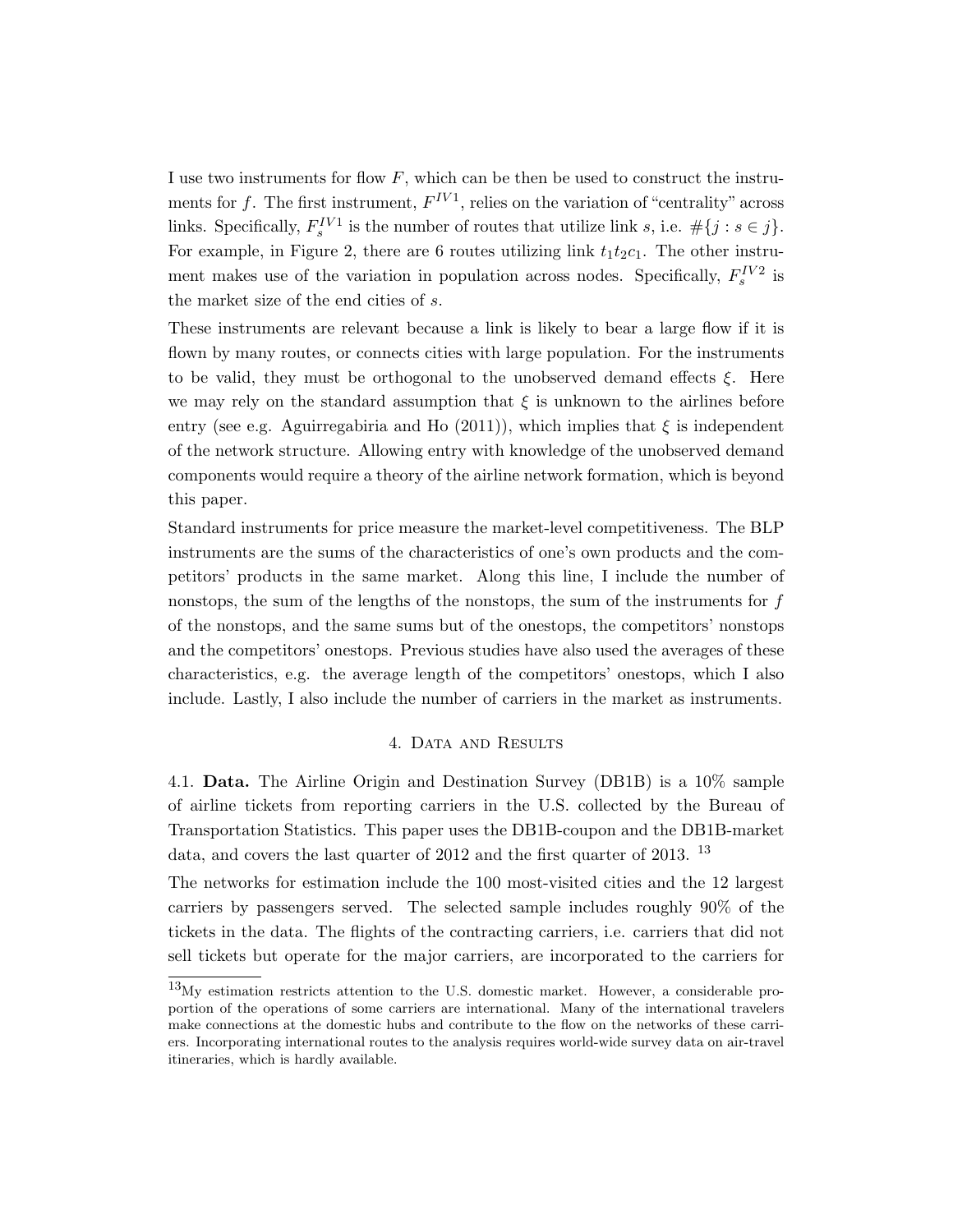I use two instruments for flow  $F$ , which can be then be used to construct the instruments for f. The first instrument,  $F^{IV1}$ , relies on the variation of "centrality" across links. Specifically,  $F_s^{IV1}$  is the number of routes that utilize link s, i.e.  $\#\{j : s \in j\}$ . For example, in Figure 2, there are 6 routes utilizing link  $t_1t_2c_1$ . The other instrument makes use of the variation in population across nodes. Specifically,  $F_s^{IV2}$  is the market size of the end cities of s.

These instruments are relevant because a link is likely to bear a large flow if it is flown by many routes, or connects cities with large population. For the instruments to be valid, they must be orthogonal to the unobserved demand effects  $\xi$ . Here we may rely on the standard assumption that  $\xi$  is unknown to the airlines before entry (see e.g. Aguirregabiria and Ho (2011)), which implies that  $\xi$  is independent of the network structure. Allowing entry with knowledge of the unobserved demand components would require a theory of the airline network formation, which is beyond this paper.

Standard instruments for price measure the market-level competitiveness. The BLP instruments are the sums of the characteristics of one's own products and the competitors' products in the same market. Along this line, I include the number of nonstops, the sum of the lengths of the nonstops, the sum of the instruments for  $f$ of the nonstops, and the same sums but of the onestops, the competitors' nonstops and the competitors' onestops. Previous studies have also used the averages of these characteristics, e.g. the average length of the competitors' onestops, which I also include. Lastly, I also include the number of carriers in the market as instruments.

# 4. Data and Results

4.1. Data. The Airline Origin and Destination Survey (DB1B) is a 10% sample of airline tickets from reporting carriers in the U.S. collected by the Bureau of Transportation Statistics. This paper uses the DB1B-coupon and the DB1B-market data, and covers the last quarter of 2012 and the first quarter of 2013.  $^{13}$ 

The networks for estimation include the 100 most-visited cities and the 12 largest carriers by passengers served. The selected sample includes roughly 90% of the tickets in the data. The flights of the contracting carriers, i.e. carriers that did not sell tickets but operate for the major carriers, are incorporated to the carriers for

 $^{13}$ My estimation restricts attention to the U.S. domestic market. However, a considerable proportion of the operations of some carriers are international. Many of the international travelers make connections at the domestic hubs and contribute to the flow on the networks of these carriers. Incorporating international routes to the analysis requires world-wide survey data on air-travel itineraries, which is hardly available.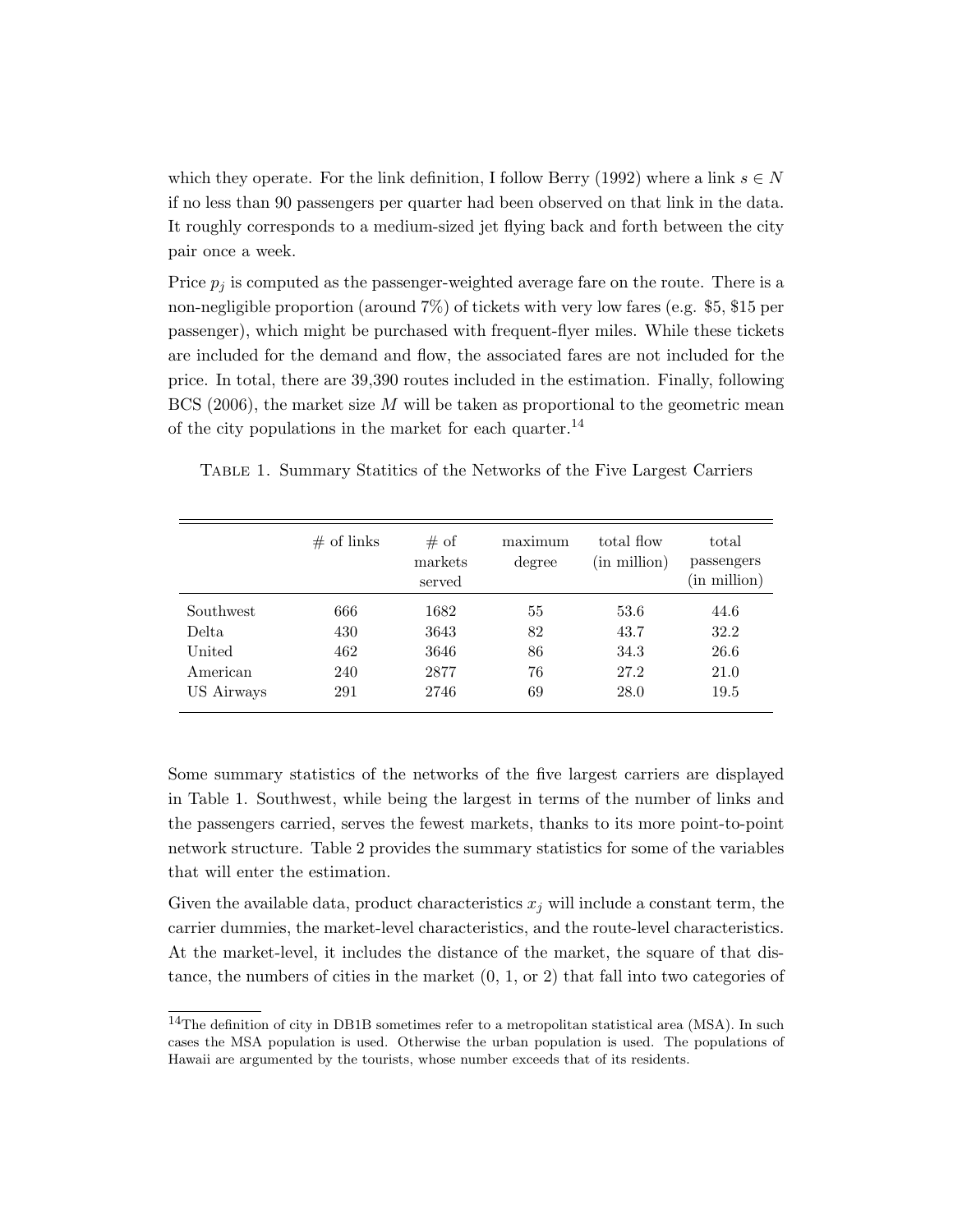which they operate. For the link definition, I follow Berry (1992) where a link  $s \in N$ if no less than 90 passengers per quarter had been observed on that link in the data. It roughly corresponds to a medium-sized jet flying back and forth between the city pair once a week.

Price  $p_i$  is computed as the passenger-weighted average fare on the route. There is a non-negligible proportion (around 7%) of tickets with very low fares (e.g. \$5, \$15 per passenger), which might be purchased with frequent-flyer miles. While these tickets are included for the demand and flow, the associated fares are not included for the price. In total, there are 39,390 routes included in the estimation. Finally, following BCS (2006), the market size  $M$  will be taken as proportional to the geometric mean of the city populations in the market for each quarter.<sup>14</sup>

| TABLE 1. Summary Statitics of the Networks of the Five Largest Carriers |  |  |  |  |
|-------------------------------------------------------------------------|--|--|--|--|
|                                                                         |  |  |  |  |

|            | $\#$ of links | # of<br>markets<br>served | maximum<br>degree | total flow<br>(in million) | total<br>passengers<br>(in million) |
|------------|---------------|---------------------------|-------------------|----------------------------|-------------------------------------|
| Southwest  | 666           | 1682                      | 55                | 53.6                       | 44.6                                |
| Delta      | 430           | 3643                      | 82                | 43.7                       | 32.2                                |
| United     | 462           | 3646                      | 86                | 34.3                       | 26.6                                |
| American   | 240           | 2877                      | 76                | 27.2                       | 21.0                                |
| US Airways | 291           | 2746                      | 69                | 28.0                       | 19.5                                |

Some summary statistics of the networks of the five largest carriers are displayed in Table 1. Southwest, while being the largest in terms of the number of links and the passengers carried, serves the fewest markets, thanks to its more point-to-point network structure. Table 2 provides the summary statistics for some of the variables that will enter the estimation.

Given the available data, product characteristics  $x_j$  will include a constant term, the carrier dummies, the market-level characteristics, and the route-level characteristics. At the market-level, it includes the distance of the market, the square of that distance, the numbers of cities in the market  $(0, 1, \text{or } 2)$  that fall into two categories of

<sup>&</sup>lt;sup>14</sup>The definition of city in DB1B sometimes refer to a metropolitan statistical area (MSA). In such cases the MSA population is used. Otherwise the urban population is used. The populations of Hawaii are argumented by the tourists, whose number exceeds that of its residents.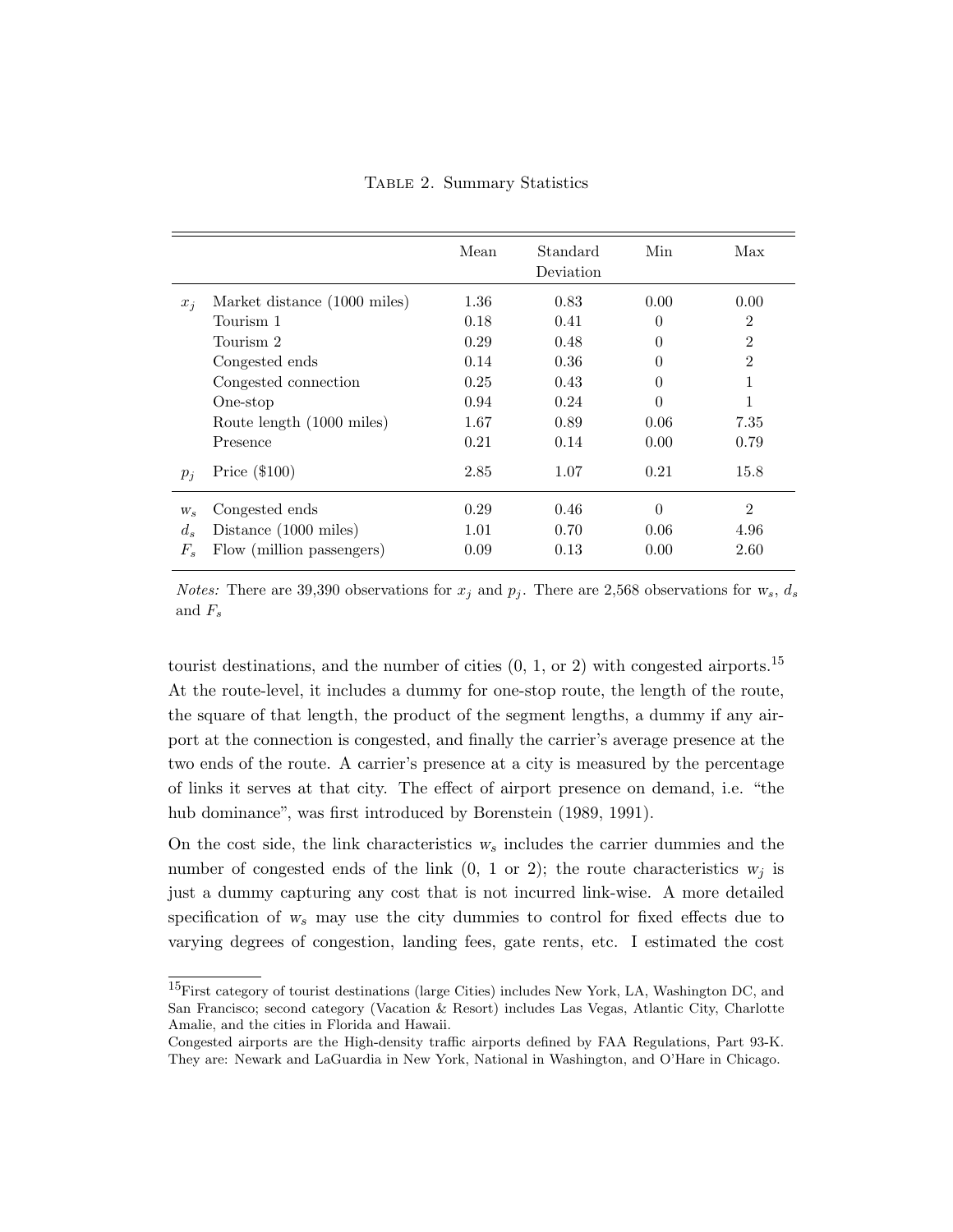Table 2. Summary Statistics

|             |                              | Mean | Standard<br>Deviation | Min      | Max            |
|-------------|------------------------------|------|-----------------------|----------|----------------|
| $x_i$       | Market distance (1000 miles) | 1.36 | 0.83                  | 0.00     | 0.00           |
|             | Tourism 1                    | 0.18 | 0.41                  | $\theta$ | $\overline{2}$ |
|             | Tourism 2                    | 0.29 | 0.48                  | $\theta$ | $\overline{2}$ |
|             | Congested ends               | 0.14 | 0.36                  | $\theta$ | $\overline{2}$ |
|             | Congested connection         | 0.25 | 0.43                  | $\theta$ | 1              |
|             | One-stop                     | 0.94 | 0.24                  | $\theta$ | 1              |
|             | Route length (1000 miles)    | 1.67 | 0.89                  | 0.06     | 7.35           |
|             | Presence                     | 0.21 | 0.14                  | 0.00     | 0.79           |
| $p_i$       | Price $(\$100)$              | 2.85 | 1.07                  | 0.21     | 15.8           |
| $W_{\rm s}$ | Congested ends               | 0.29 | 0.46                  | $\theta$ | $\overline{2}$ |
| $d_s$       | Distance (1000 miles)        | 1.01 | 0.70                  | 0.06     | 4.96           |
| $F_s$       | Flow (million passengers)    | 0.09 | 0.13                  | 0.00     | 2.60           |

*Notes:* There are 39,390 observations for  $x_j$  and  $p_j$ . There are 2,568 observations for  $w_s$ ,  $d_s$ and  $F_s$ 

tourist destinations, and the number of cities  $(0, 1, \text{or } 2)$  with congested airports.<sup>15</sup> At the route-level, it includes a dummy for one-stop route, the length of the route, the square of that length, the product of the segment lengths, a dummy if any airport at the connection is congested, and finally the carrier's average presence at the two ends of the route. A carrier's presence at a city is measured by the percentage of links it serves at that city. The effect of airport presence on demand, i.e. "the hub dominance", was first introduced by Borenstein  $(1989, 1991)$ .

On the cost side, the link characteristics  $w_s$  includes the carrier dummies and the number of congested ends of the link  $(0, 1 \text{ or } 2)$ ; the route characteristics  $w_i$  is just a dummy capturing any cost that is not incurred link-wise. A more detailed specification of  $w_s$  may use the city dummies to control for fixed effects due to varying degrees of congestion, landing fees, gate rents, etc. I estimated the cost

<sup>15</sup>First category of tourist destinations (large Cities) includes New York, LA, Washington DC, and San Francisco; second category (Vacation & Resort) includes Las Vegas, Atlantic City, Charlotte Amalie, and the cities in Florida and Hawaii.

Congested airports are the High-density traffic airports defined by FAA Regulations, Part 93-K. They are: Newark and LaGuardia in New York, National in Washington, and O'Hare in Chicago.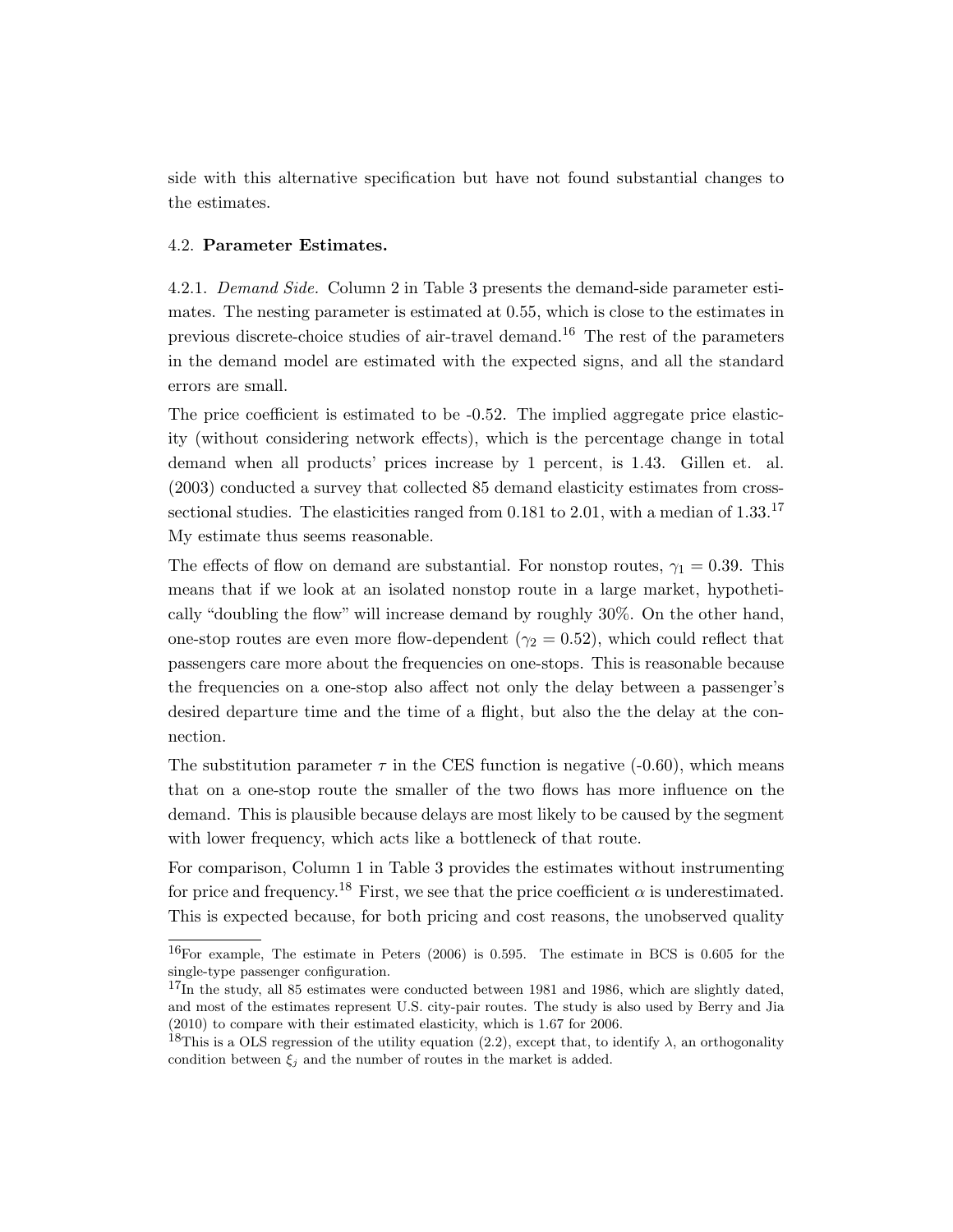side with this alternative specification but have not found substantial changes to the estimates.

#### 4.2. Parameter Estimates.

4.2.1. Demand Side. Column 2 in Table 3 presents the demand-side parameter estimates. The nesting parameter is estimated at 0.55, which is close to the estimates in previous discrete-choice studies of air-travel demand.<sup>16</sup> The rest of the parameters in the demand model are estimated with the expected signs, and all the standard errors are small.

The price coefficient is estimated to be -0.52. The implied aggregate price elasticity (without considering network effects), which is the percentage change in total demand when all products' prices increase by 1 percent, is 1.43. Gillen et. al. (2003) conducted a survey that collected 85 demand elasticity estimates from crosssectional studies. The elasticities ranged from 0.181 to 2.01, with a median of  $1.33$ .<sup>17</sup> My estimate thus seems reasonable.

The effects of flow on demand are substantial. For nonstop routes,  $\gamma_1 = 0.39$ . This means that if we look at an isolated nonstop route in a large market, hypothetically "doubling the flow" will increase demand by roughly 30%. On the other hand, one-stop routes are even more flow-dependent ( $\gamma_2 = 0.52$ ), which could reflect that passengers care more about the frequencies on one-stops. This is reasonable because the frequencies on a one-stop also affect not only the delay between a passenger's desired departure time and the time of a flight, but also the the delay at the connection.

The substitution parameter  $\tau$  in the CES function is negative (-0.60), which means that on a one-stop route the smaller of the two flows has more influence on the demand. This is plausible because delays are most likely to be caused by the segment with lower frequency, which acts like a bottleneck of that route.

For comparison, Column 1 in Table 3 provides the estimates without instrumenting for price and frequency.<sup>18</sup> First, we see that the price coefficient  $\alpha$  is underestimated. This is expected because, for both pricing and cost reasons, the unobserved quality

<sup>16</sup>For example, The estimate in Peters (2006) is 0.595. The estimate in BCS is 0.605 for the single-type passenger configuration.

 $^{17}$ In the study, all 85 estimates were conducted between 1981 and 1986, which are slightly dated, and most of the estimates represent U.S. city-pair routes. The study is also used by Berry and Jia (2010) to compare with their estimated elasticity, which is 1.67 for 2006.

<sup>&</sup>lt;sup>18</sup>This is a OLS regression of the utility equation (2.2), except that, to identify  $\lambda$ , an orthogonality condition between  $\xi_i$  and the number of routes in the market is added.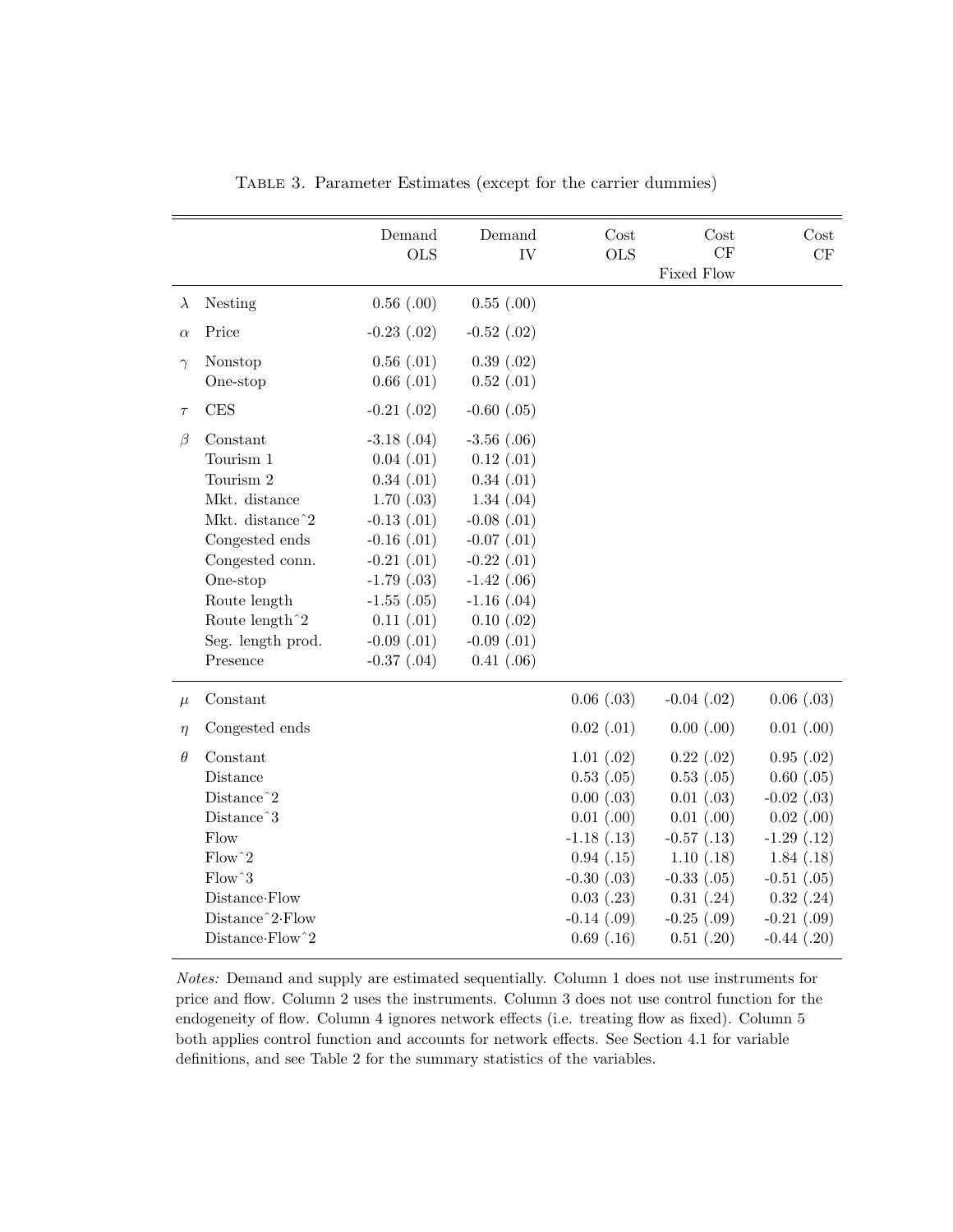|           |                             | Demand<br><b>OLS</b> | Demand<br>IV    | Cost<br><b>OLS</b> | Cost<br>CF<br>Fixed Flow | Cost<br>$\mathrm{CF}$ |
|-----------|-----------------------------|----------------------|-----------------|--------------------|--------------------------|-----------------------|
| $\lambda$ | Nesting                     | $0.56$ $(.00)$       | $0.55$ $(.00)$  |                    |                          |                       |
| $\alpha$  | Price                       | $-0.23$ $(.02)$      | $-0.52$ $(.02)$ |                    |                          |                       |
| $\gamma$  | Nonstop                     | $0.56$ $(.01)$       | 0.39(0.02)      |                    |                          |                       |
|           | One-stop                    | $0.66$ $(.01)$       | $0.52$ $(.01)$  |                    |                          |                       |
| $\tau$    | CES                         | $-0.21$ $(.02)$      | $-0.60$ $(.05)$ |                    |                          |                       |
| $\beta$   | Constant                    | $-3.18$ $(.04)$      | $-3.56$ $(.06)$ |                    |                          |                       |
|           | Tourism 1                   | $0.04$ $(.01)$       | $0.12$ $(.01)$  |                    |                          |                       |
|           | Tourism 2                   | 0.34(0.01)           | 0.34(0.01)      |                    |                          |                       |
|           | Mkt. distance               | $1.70$ $(.03)$       | 1.34(0.04)      |                    |                          |                       |
|           | Mkt. distance <sup>2</sup>  | $-0.13$ $(.01)$      | $-0.08$ $(.01)$ |                    |                          |                       |
|           | Congested ends              | $-0.16$ $(.01)$      | $-0.07$ $(.01)$ |                    |                          |                       |
|           | Congested conn.             | $-0.21$ $(.01)$      | $-0.22$ $(.01)$ |                    |                          |                       |
|           | One-stop                    | $-1.79$ $(.03)$      | $-1.42$ $(.06)$ |                    |                          |                       |
|           | Route length                | $-1.55$ $(.05)$      | $-1.16$ $(.04)$ |                    |                          |                       |
|           | Route length $\hat{}$ 2     | $0.11$ $(.01)$       | $0.10$ $(.02)$  |                    |                          |                       |
|           | Seg. length prod.           | $-0.09$ $(.01)$      | $-0.09$ $(.01)$ |                    |                          |                       |
|           | Presence                    | $-0.37$ $(.04)$      | $0.41$ $(.06)$  |                    |                          |                       |
| $\mu$     | Constant                    |                      |                 | $0.06$ $(.03)$     | $-0.04$ $(.02)$          | $0.06$ $(.03)$        |
| $\eta$    | Congested ends              |                      |                 | $0.02$ $(.01)$     | $0.00$ $(.00)$           | $0.01$ $(.00)$        |
| $\theta$  | Constant                    |                      |                 | 1.01(.02)          | $0.22$ $(.02)$           | $0.95$ $(.02)$        |
|           | Distance                    |                      |                 | $0.53$ $(.05)$     | 0.53(0.05)               | $0.60$ $(.05)$        |
|           | Distance <sup>2</sup>       |                      |                 | $0.00$ $(.03)$     | $0.01$ $(.03)$           | $-0.02$ $(.03)$       |
|           | Distance <sup>3</sup>       |                      |                 | $0.01$ $(.00)$     | $0.01$ $(.00)$           | $0.02$ $(.00)$        |
|           | Flow                        |                      |                 | $-1.18$ $(.13)$    | $-0.57$ $(.13)$          | $-1.29(0.12)$         |
|           | $Flow^2$                    |                      |                 | 0.94(0.15)         | 1.10(.18)                | 1.84(.18)             |
|           | Flow <sup>3</sup>           |                      |                 | $-0.30$ $(.03)$    | $-0.33$ $(.05)$          | $-0.51$ $(.05)$       |
|           | Distance Flow               |                      |                 | $0.03$ $(.23)$     | 0.31(0.24)               | $0.32$ $(.24)$        |
|           | Distance <sup>2</sup> -Flow |                      |                 | $-0.14$ $(.09)$    | $-0.25$ $(.09)$          | $-0.21$ $(.09)$       |
|           | Distance Flow 2             |                      |                 | $0.69$ $(.16)$     | $0.51$ $(.20)$           | $-0.44$ $(.20)$       |

Table 3. Parameter Estimates (except for the carrier dummies)

Notes: Demand and supply are estimated sequentially. Column 1 does not use instruments for price and flow. Column 2 uses the instruments. Column 3 does not use control function for the endogeneity of flow. Column 4 ignores network effects (i.e. treating flow as fixed). Column 5 both applies control function and accounts for network effects. See Section 4.1 for variable definitions, and see Table 2 for the summary statistics of the variables.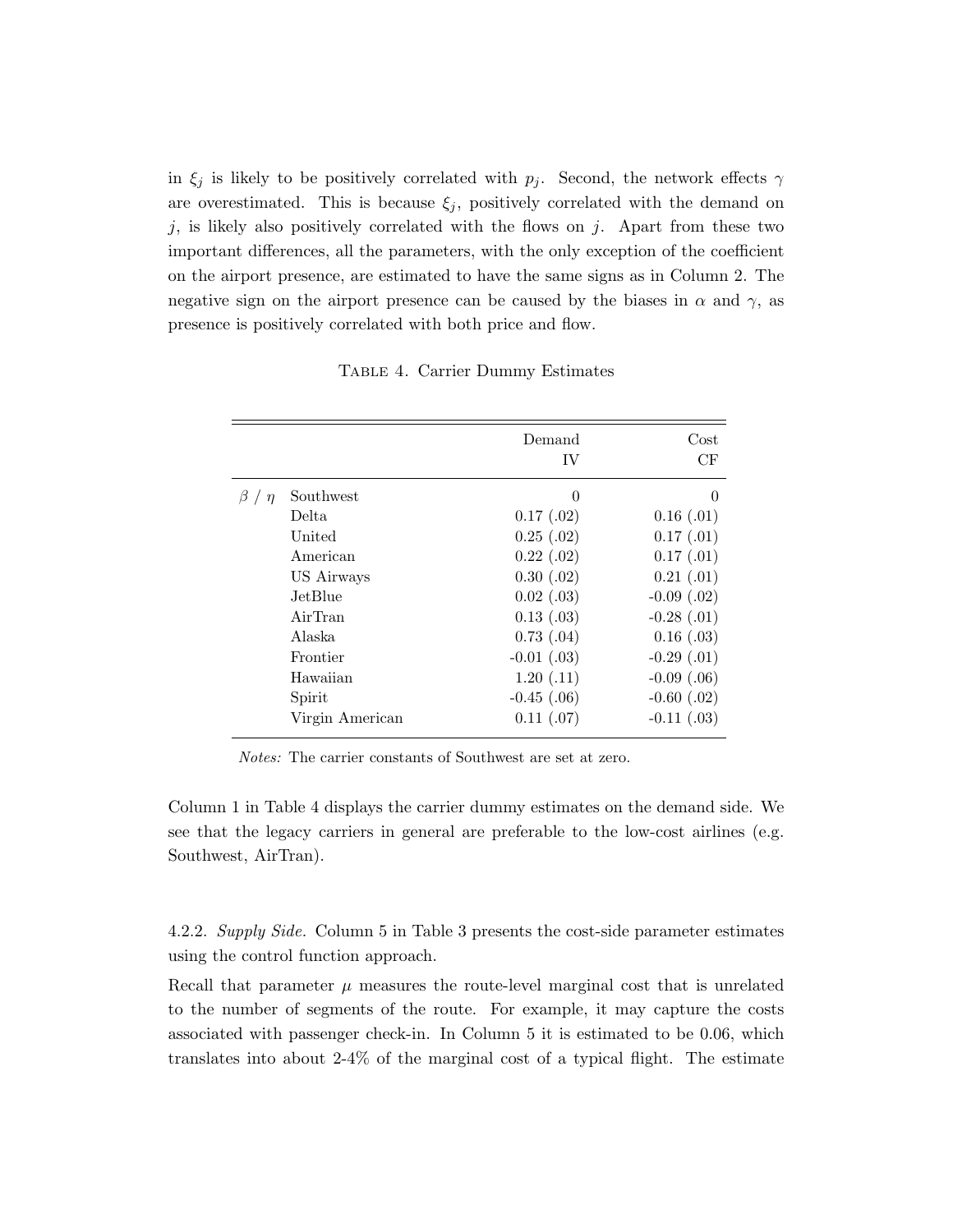in  $\xi_j$  is likely to be positively correlated with  $p_j$ . Second, the network effects  $\gamma$ are overestimated. This is because  $\xi_j$ , positively correlated with the demand on j, is likely also positively correlated with the flows on j. Apart from these two important differences, all the parameters, with the only exception of the coefficient on the airport presence, are estimated to have the same signs as in Column 2. The negative sign on the airport presence can be caused by the biases in  $\alpha$  and  $\gamma$ , as presence is positively correlated with both price and flow.

|                  |                 | Demand          | Cost            |
|------------------|-----------------|-----------------|-----------------|
|                  |                 | IV              | CF              |
| $\beta$ / $\eta$ | Southwest       | 0               | $\theta$        |
|                  | Delta.          | $0.17$ $(.02)$  | $0.16$ $(.01)$  |
|                  | United          | $0.25$ $(.02)$  | 0.17(0.01)      |
|                  | American        | $0.22$ $(.02)$  | $0.17$ $(.01)$  |
|                  | US Airways      | $0.30$ $(.02)$  | $0.21$ $(.01)$  |
|                  | JetBlue.        | $0.02$ $(.03)$  | $-0.09$ $(.02)$ |
|                  | AirTran         | 0.13(0.03)      | $-0.28$ $(.01)$ |
|                  | Alaska          | $0.73$ $(.04)$  | $0.16$ $(.03)$  |
|                  | Frontier        | $-0.01$ $(.03)$ | $-0.29$ $(.01)$ |
|                  | Hawaiian        | 1.20(0.11)      | $-0.09$ $(.06)$ |
|                  | Spirit          | $-0.45$ $(.06)$ | $-0.60$ $(.02)$ |
|                  | Virgin American | $0.11$ $(.07)$  | $-0.11$ $(.03)$ |

Table 4. Carrier Dummy Estimates

Notes: The carrier constants of Southwest are set at zero.

Column 1 in Table 4 displays the carrier dummy estimates on the demand side. We see that the legacy carriers in general are preferable to the low-cost airlines (e.g. Southwest, AirTran).

4.2.2. Supply Side. Column 5 in Table 3 presents the cost-side parameter estimates using the control function approach.

Recall that parameter  $\mu$  measures the route-level marginal cost that is unrelated to the number of segments of the route. For example, it may capture the costs associated with passenger check-in. In Column 5 it is estimated to be 0.06, which translates into about 2-4% of the marginal cost of a typical flight. The estimate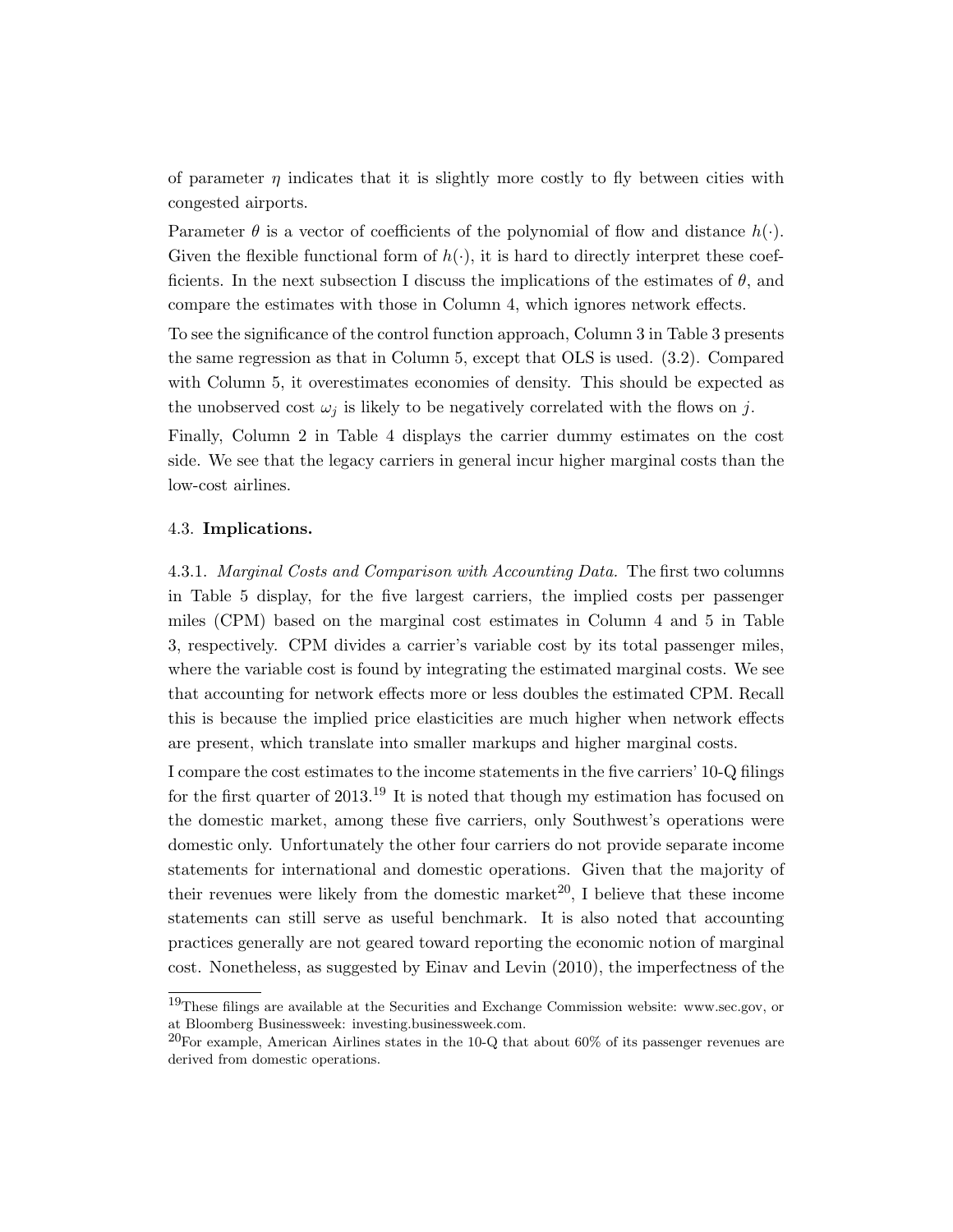of parameter  $\eta$  indicates that it is slightly more costly to fly between cities with congested airports.

Parameter  $\theta$  is a vector of coefficients of the polynomial of flow and distance  $h(\cdot)$ . Given the flexible functional form of  $h(\cdot)$ , it is hard to directly interpret these coefficients. In the next subsection I discuss the implications of the estimates of  $\theta$ , and compare the estimates with those in Column 4, which ignores network effects.

To see the significance of the control function approach, Column 3 in Table 3 presents the same regression as that in Column 5, except that OLS is used. (3.2). Compared with Column 5, it overestimates economies of density. This should be expected as the unobserved cost  $\omega_j$  is likely to be negatively correlated with the flows on j.

Finally, Column 2 in Table 4 displays the carrier dummy estimates on the cost side. We see that the legacy carriers in general incur higher marginal costs than the low-cost airlines.

#### 4.3. Implications.

4.3.1. Marginal Costs and Comparison with Accounting Data. The first two columns in Table 5 display, for the five largest carriers, the implied costs per passenger miles (CPM) based on the marginal cost estimates in Column 4 and 5 in Table 3, respectively. CPM divides a carrier's variable cost by its total passenger miles, where the variable cost is found by integrating the estimated marginal costs. We see that accounting for network effects more or less doubles the estimated CPM. Recall this is because the implied price elasticities are much higher when network effects are present, which translate into smaller markups and higher marginal costs.

I compare the cost estimates to the income statements in the five carriers' 10-Q filings for the first quarter of  $2013^{19}$  It is noted that though my estimation has focused on the domestic market, among these five carriers, only Southwest's operations were domestic only. Unfortunately the other four carriers do not provide separate income statements for international and domestic operations. Given that the majority of their revenues were likely from the domestic market<sup>20</sup>, I believe that these income statements can still serve as useful benchmark. It is also noted that accounting practices generally are not geared toward reporting the economic notion of marginal cost. Nonetheless, as suggested by Einav and Levin (2010), the imperfectness of the

<sup>19</sup>These filings are available at the Securities and Exchange Commission website: www.sec.gov, or at Bloomberg Businessweek: investing.businessweek.com.

 $^{20}$ For example, American Airlines states in the 10-Q that about 60% of its passenger revenues are derived from domestic operations.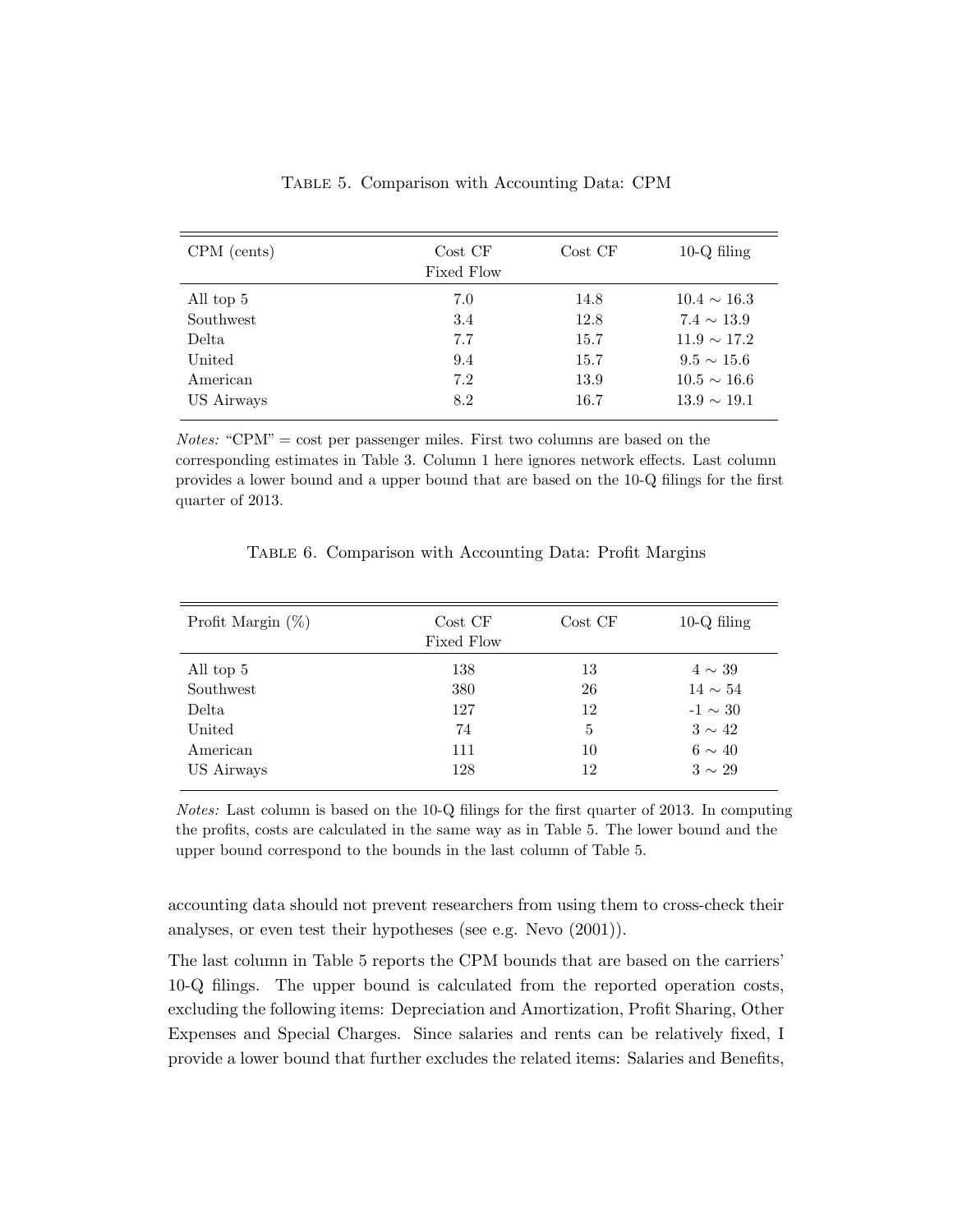| $CPM$ (cents) | Cost CF<br>Fixed Flow | Cost CF | $10-Q$ filing    |
|---------------|-----------------------|---------|------------------|
| All top 5     | 7.0                   | 14.8    | $10.4 \sim 16.3$ |
| Southwest     | 3.4                   | 12.8    | $7.4 \sim 13.9$  |
| Delta         | 7.7                   | 15.7    | $11.9 \sim 17.2$ |
| United        | 9.4                   | 15.7    | $9.5 \sim 15.6$  |
| American      | 7.2                   | 13.9    | $10.5 \sim 16.6$ |
| US Airways    | 8.2                   | 16.7    | $13.9 \sim 19.1$ |

Table 5. Comparison with Accounting Data: CPM

*Notes:* "CPM" = cost per passenger miles. First two columns are based on the corresponding estimates in Table 3. Column 1 here ignores network effects. Last column provides a lower bound and a upper bound that are based on the 10-Q filings for the first quarter of 2013.

| Profit Margin $(\%)$ | Cost CF<br>Fixed Flow | Cost CF | $10-Q$ filing |
|----------------------|-----------------------|---------|---------------|
| All top 5            | 138                   | 13      | $4 \sim 39$   |
| Southwest            | 380                   | 26      | $14 \sim 54$  |
| Delta                | 127                   | 12      | $-1 \sim 30$  |
| United               | 74                    | 5       | $3 \sim 42$   |
| American             | 111                   | 10      | $6 \sim 40$   |
| US Airways           | 128                   | 12      | $3 \sim 29$   |

Table 6. Comparison with Accounting Data: Profit Margins

Notes: Last column is based on the 10-Q filings for the first quarter of 2013. In computing the profits, costs are calculated in the same way as in Table 5. The lower bound and the upper bound correspond to the bounds in the last column of Table 5.

accounting data should not prevent researchers from using them to cross-check their analyses, or even test their hypotheses (see e.g. Nevo (2001)).

The last column in Table 5 reports the CPM bounds that are based on the carriers' 10-Q filings. The upper bound is calculated from the reported operation costs, excluding the following items: Depreciation and Amortization, Profit Sharing, Other Expenses and Special Charges. Since salaries and rents can be relatively fixed, I provide a lower bound that further excludes the related items: Salaries and Benefits,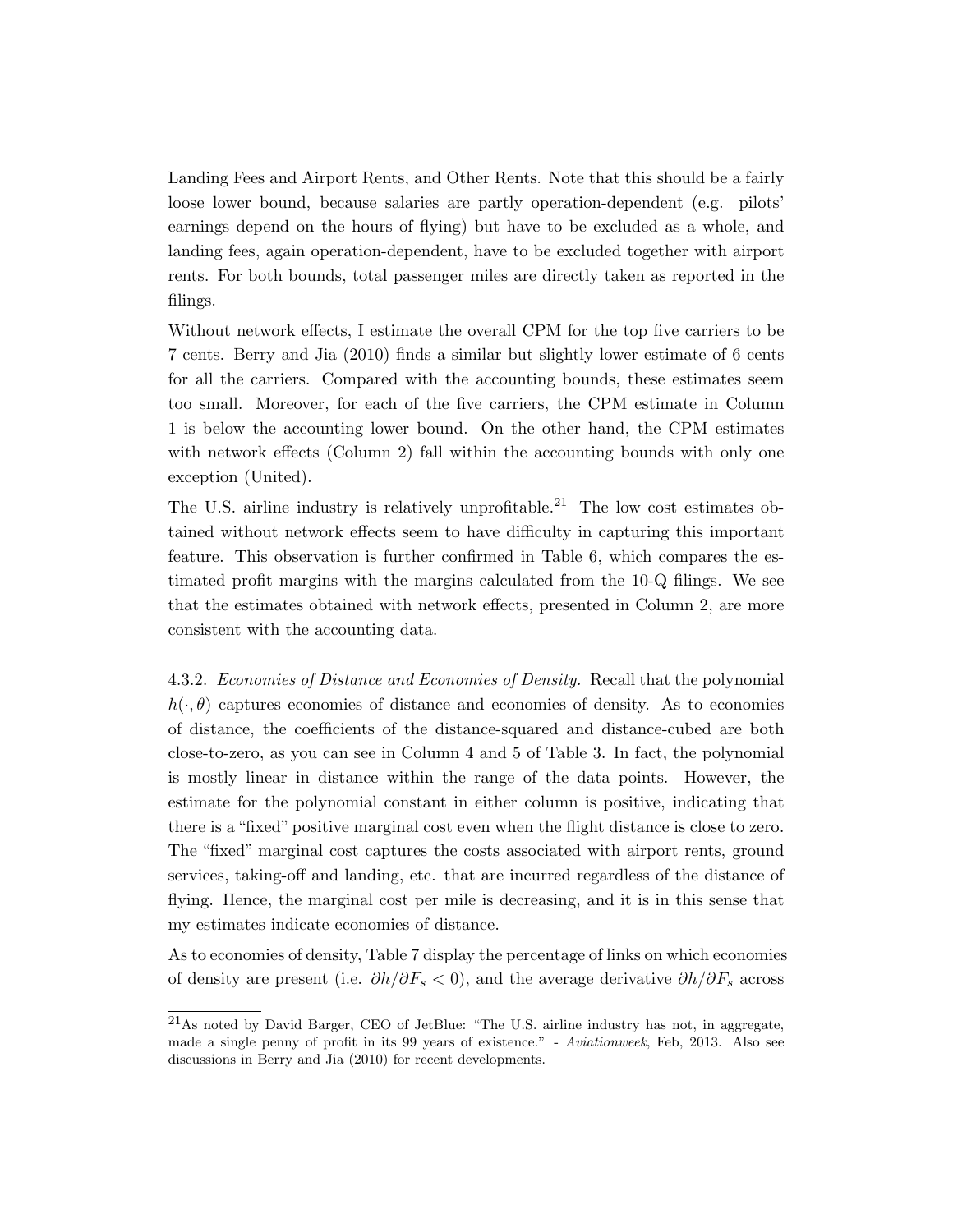Landing Fees and Airport Rents, and Other Rents. Note that this should be a fairly loose lower bound, because salaries are partly operation-dependent (e.g. pilots' earnings depend on the hours of flying) but have to be excluded as a whole, and landing fees, again operation-dependent, have to be excluded together with airport rents. For both bounds, total passenger miles are directly taken as reported in the filings.

Without network effects, I estimate the overall CPM for the top five carriers to be 7 cents. Berry and Jia (2010) finds a similar but slightly lower estimate of 6 cents for all the carriers. Compared with the accounting bounds, these estimates seem too small. Moreover, for each of the five carriers, the CPM estimate in Column 1 is below the accounting lower bound. On the other hand, the CPM estimates with network effects (Column 2) fall within the accounting bounds with only one exception (United).

The U.S. airline industry is relatively unprofitable.<sup>21</sup> The low cost estimates obtained without network effects seem to have difficulty in capturing this important feature. This observation is further confirmed in Table 6, which compares the estimated profit margins with the margins calculated from the 10-Q filings. We see that the estimates obtained with network effects, presented in Column 2, are more consistent with the accounting data.

4.3.2. Economies of Distance and Economies of Density. Recall that the polynomial  $h(\cdot, \theta)$  captures economies of distance and economies of density. As to economies of distance, the coefficients of the distance-squared and distance-cubed are both close-to-zero, as you can see in Column 4 and 5 of Table 3. In fact, the polynomial is mostly linear in distance within the range of the data points. However, the estimate for the polynomial constant in either column is positive, indicating that there is a "fixed" positive marginal cost even when the flight distance is close to zero. The "fixed" marginal cost captures the costs associated with airport rents, ground services, taking-off and landing, etc. that are incurred regardless of the distance of flying. Hence, the marginal cost per mile is decreasing, and it is in this sense that my estimates indicate economies of distance.

As to economies of density, Table 7 display the percentage of links on which economies of density are present (i.e.  $\partial h/\partial F_s < 0$ ), and the average derivative  $\partial h/\partial F_s$  across

<sup>21</sup>As noted by David Barger, CEO of JetBlue: "The U.S. airline industry has not, in aggregate, made a single penny of profit in its 99 years of existence." - Aviationweek, Feb, 2013. Also see discussions in Berry and Jia (2010) for recent developments.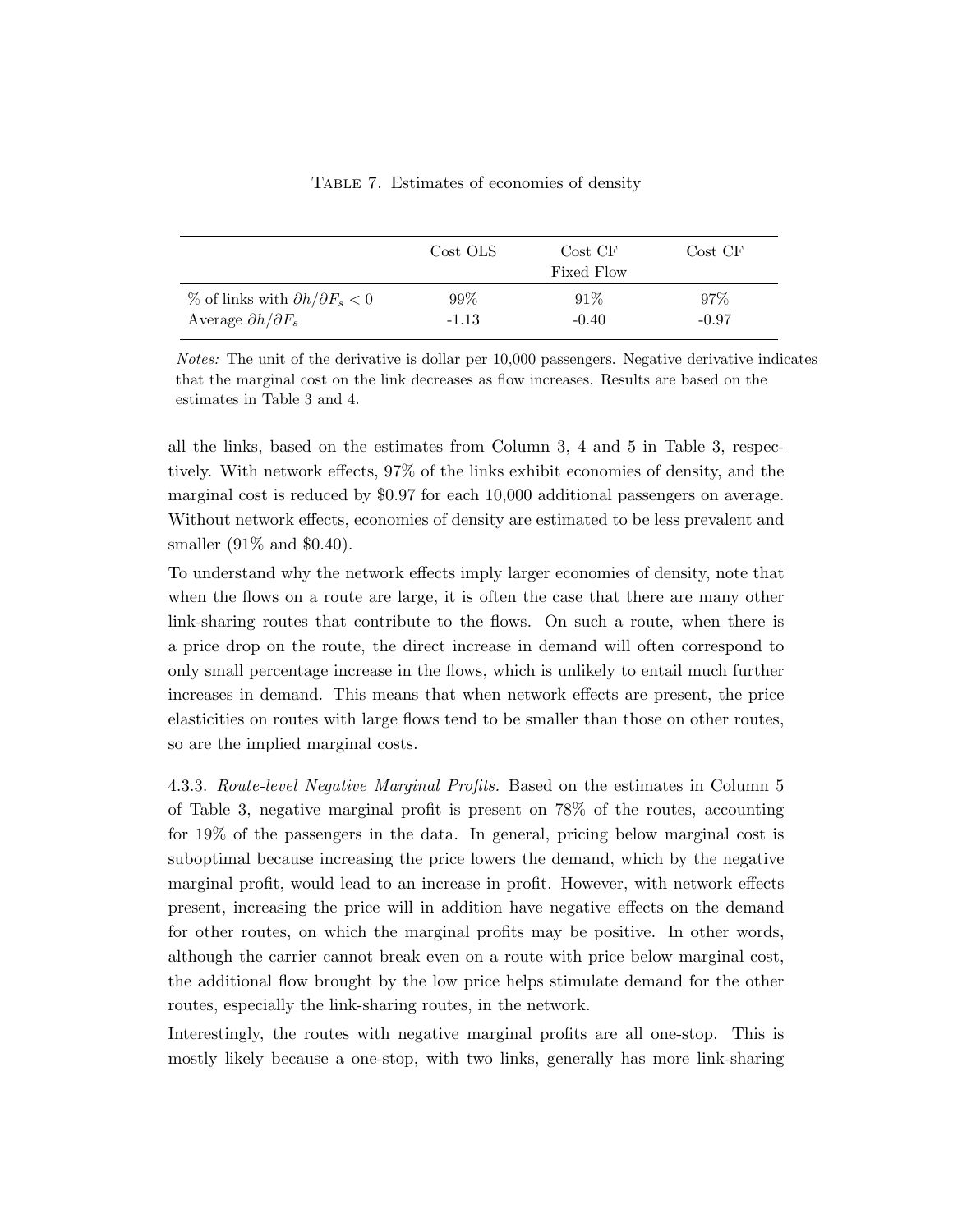|                                                  | Cost OLS | Cost CF<br>Fixed Flow | Cost CF |
|--------------------------------------------------|----------|-----------------------|---------|
| $\%$ of links with $\partial h/\partial F_s < 0$ | $99\%$   | 91%                   | $97\%$  |
| Average $\partial h/\partial F_s$                | $-1.13$  | $-0.40$               | $-0.97$ |

Table 7. Estimates of economies of density

Notes: The unit of the derivative is dollar per 10,000 passengers. Negative derivative indicates that the marginal cost on the link decreases as flow increases. Results are based on the estimates in Table 3 and 4.

all the links, based on the estimates from Column 3, 4 and 5 in Table 3, respectively. With network effects, 97% of the links exhibit economies of density, and the marginal cost is reduced by \$0.97 for each 10,000 additional passengers on average. Without network effects, economies of density are estimated to be less prevalent and smaller (91% and \$0.40).

To understand why the network effects imply larger economies of density, note that when the flows on a route are large, it is often the case that there are many other link-sharing routes that contribute to the flows. On such a route, when there is a price drop on the route, the direct increase in demand will often correspond to only small percentage increase in the flows, which is unlikely to entail much further increases in demand. This means that when network effects are present, the price elasticities on routes with large flows tend to be smaller than those on other routes, so are the implied marginal costs.

4.3.3. Route-level Negative Marginal Profits. Based on the estimates in Column 5 of Table 3, negative marginal profit is present on 78% of the routes, accounting for 19% of the passengers in the data. In general, pricing below marginal cost is suboptimal because increasing the price lowers the demand, which by the negative marginal profit, would lead to an increase in profit. However, with network effects present, increasing the price will in addition have negative effects on the demand for other routes, on which the marginal profits may be positive. In other words, although the carrier cannot break even on a route with price below marginal cost, the additional flow brought by the low price helps stimulate demand for the other routes, especially the link-sharing routes, in the network.

Interestingly, the routes with negative marginal profits are all one-stop. This is mostly likely because a one-stop, with two links, generally has more link-sharing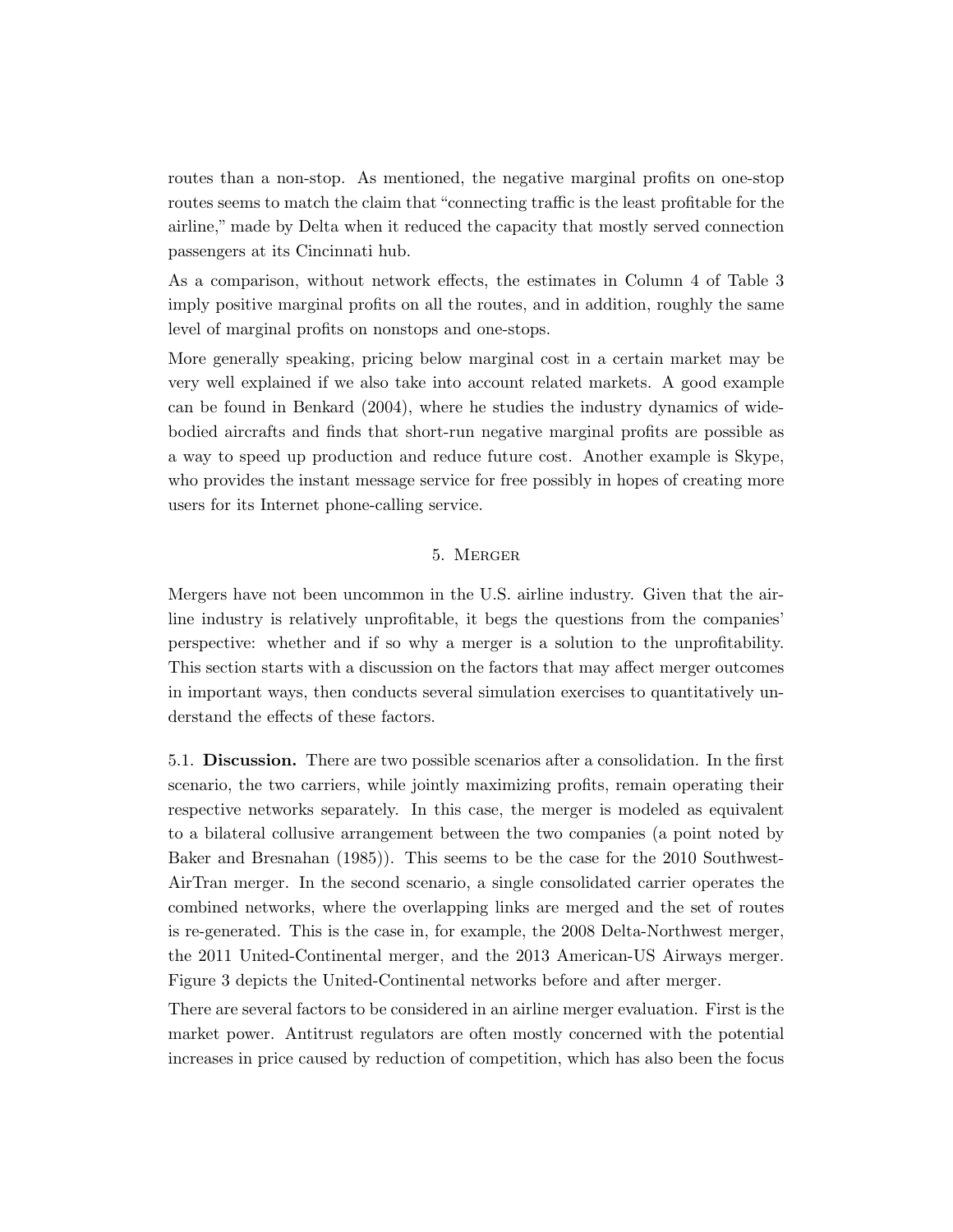routes than a non-stop. As mentioned, the negative marginal profits on one-stop routes seems to match the claim that "connecting traffic is the least profitable for the airline," made by Delta when it reduced the capacity that mostly served connection passengers at its Cincinnati hub.

As a comparison, without network effects, the estimates in Column 4 of Table 3 imply positive marginal profits on all the routes, and in addition, roughly the same level of marginal profits on nonstops and one-stops.

More generally speaking, pricing below marginal cost in a certain market may be very well explained if we also take into account related markets. A good example can be found in Benkard (2004), where he studies the industry dynamics of widebodied aircrafts and finds that short-run negative marginal profits are possible as a way to speed up production and reduce future cost. Another example is Skype, who provides the instant message service for free possibly in hopes of creating more users for its Internet phone-calling service.

# 5. Merger

Mergers have not been uncommon in the U.S. airline industry. Given that the airline industry is relatively unprofitable, it begs the questions from the companies' perspective: whether and if so why a merger is a solution to the unprofitability. This section starts with a discussion on the factors that may affect merger outcomes in important ways, then conducts several simulation exercises to quantitatively understand the effects of these factors.

5.1. Discussion. There are two possible scenarios after a consolidation. In the first scenario, the two carriers, while jointly maximizing profits, remain operating their respective networks separately. In this case, the merger is modeled as equivalent to a bilateral collusive arrangement between the two companies (a point noted by Baker and Bresnahan (1985)). This seems to be the case for the 2010 Southwest-AirTran merger. In the second scenario, a single consolidated carrier operates the combined networks, where the overlapping links are merged and the set of routes is re-generated. This is the case in, for example, the 2008 Delta-Northwest merger, the 2011 United-Continental merger, and the 2013 American-US Airways merger. Figure 3 depicts the United-Continental networks before and after merger.

There are several factors to be considered in an airline merger evaluation. First is the market power. Antitrust regulators are often mostly concerned with the potential increases in price caused by reduction of competition, which has also been the focus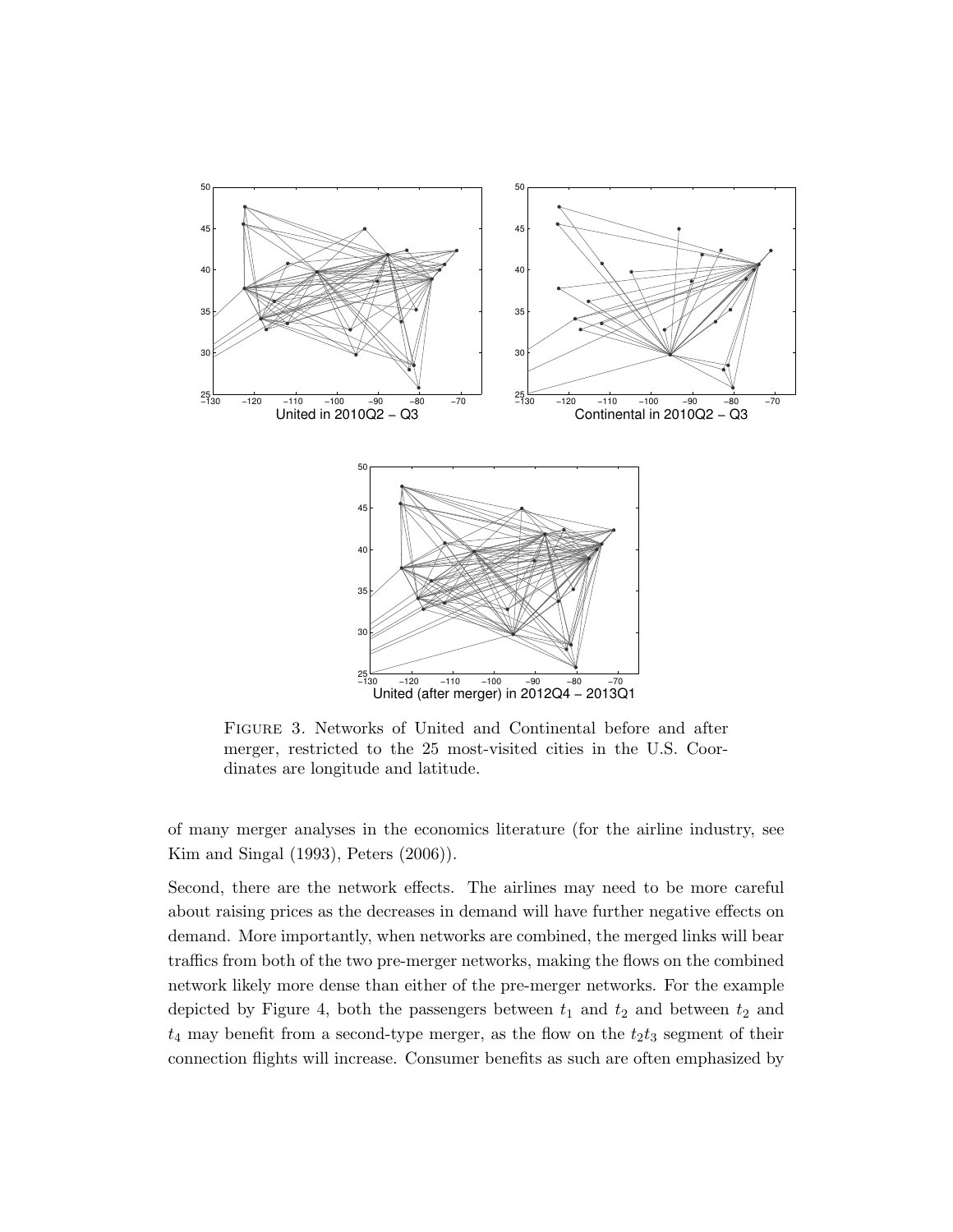

Figure 3. Networks of United and Continental before and after merger, restricted to the 25 most-visited cities in the U.S. Coordinates are longitude and latitude.

of many merger analyses in the economics literature (for the airline industry, see Kim and Singal (1993), Peters (2006)).

Second, there are the network effects. The airlines may need to be more careful about raising prices as the decreases in demand will have further negative effects on demand. More importantly, when networks are combined, the merged links will bear traffics from both of the two pre-merger networks, making the flows on the combined network likely more dense than either of the pre-merger networks. For the example depicted by Figure 4, both the passengers between  $t_1$  and  $t_2$  and between  $t_2$  and  $t_4$  may benefit from a second-type merger, as the flow on the  $t_2t_3$  segment of their connection flights will increase. Consumer benefits as such are often emphasized by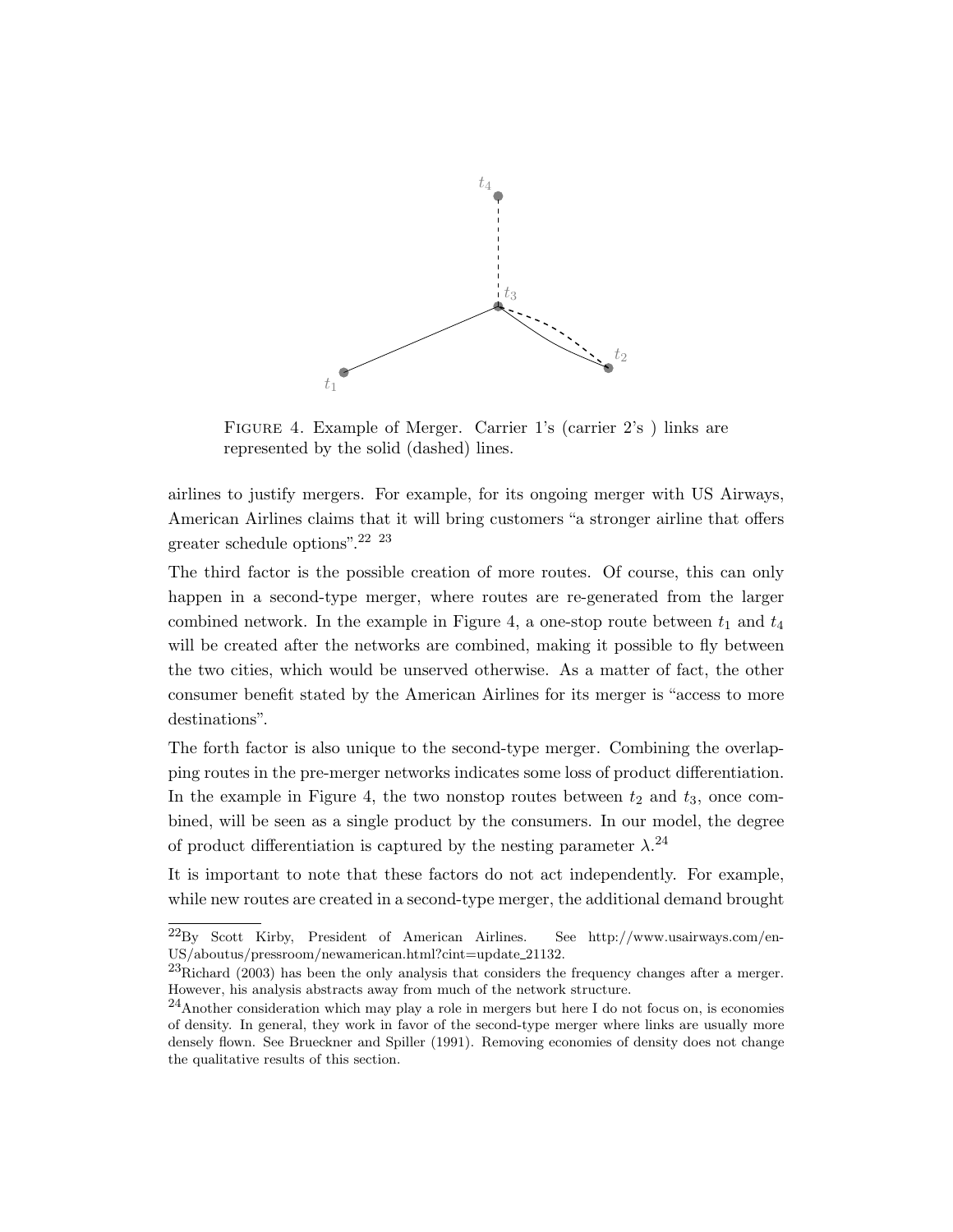

FIGURE 4. Example of Merger. Carrier 1's (carrier 2's) links are represented by the solid (dashed) lines.

airlines to justify mergers. For example, for its ongoing merger with US Airways, American Airlines claims that it will bring customers "a stronger airline that offers greater schedule options".22 23

The third factor is the possible creation of more routes. Of course, this can only happen in a second-type merger, where routes are re-generated from the larger combined network. In the example in Figure 4, a one-stop route between  $t_1$  and  $t_4$ will be created after the networks are combined, making it possible to fly between the two cities, which would be unserved otherwise. As a matter of fact, the other consumer benefit stated by the American Airlines for its merger is "access to more destinations".

The forth factor is also unique to the second-type merger. Combining the overlapping routes in the pre-merger networks indicates some loss of product differentiation. In the example in Figure 4, the two nonstop routes between  $t_2$  and  $t_3$ , once combined, will be seen as a single product by the consumers. In our model, the degree of product differentiation is captured by the nesting parameter  $\lambda$ .<sup>24</sup>

It is important to note that these factors do not act independently. For example, while new routes are created in a second-type merger, the additional demand brought

 $^{22}$ By Scott Kirby, President of American Airlines. See http://www.usairways.com/en-US/aboutus/pressroom/newamerican.html?cint=update 21132.

 $^{23}$ Richard (2003) has been the only analysis that considers the frequency changes after a merger. However, his analysis abstracts away from much of the network structure.

 $^{24}$ Another consideration which may play a role in mergers but here I do not focus on, is economies of density. In general, they work in favor of the second-type merger where links are usually more densely flown. See Brueckner and Spiller (1991). Removing economies of density does not change the qualitative results of this section.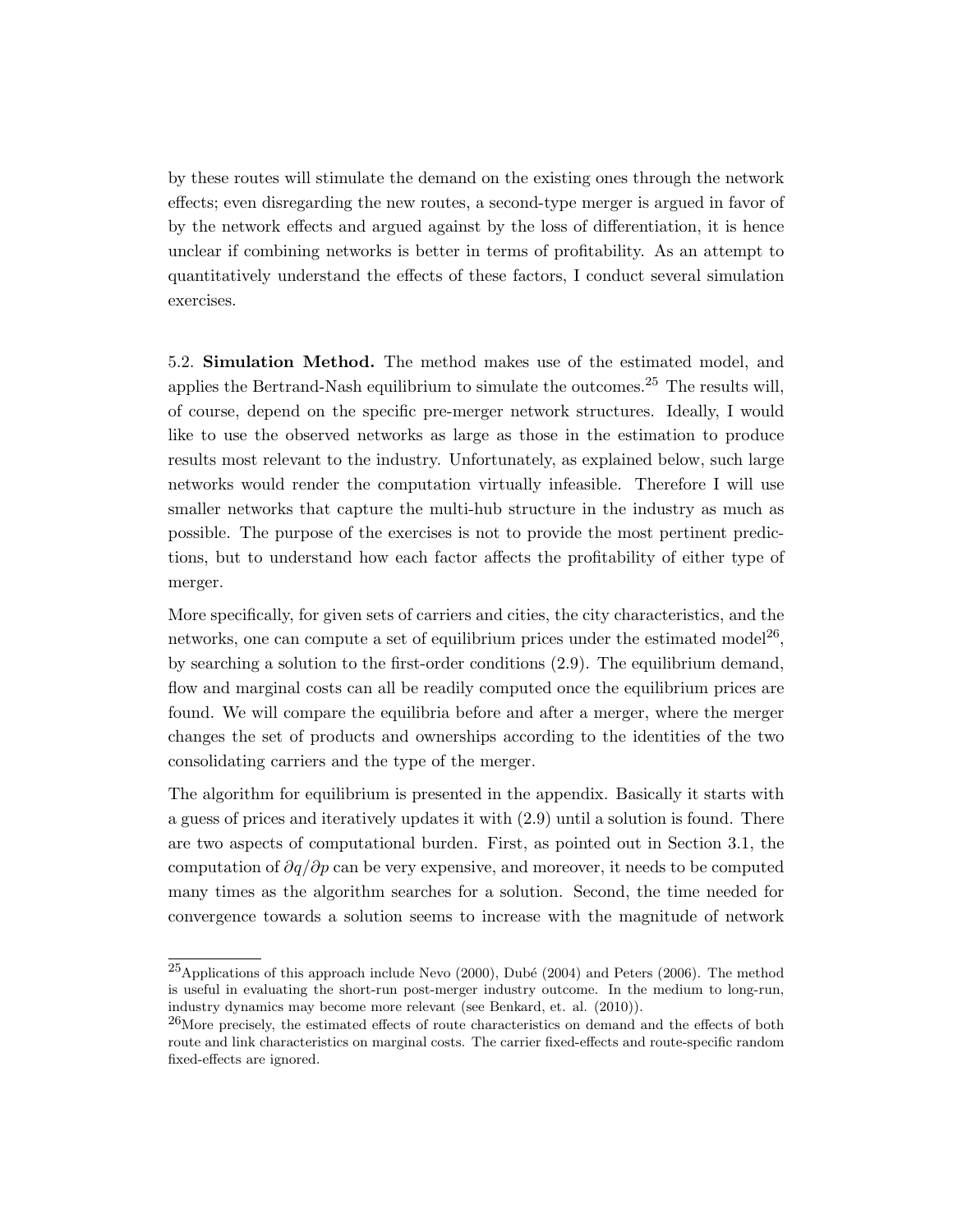by these routes will stimulate the demand on the existing ones through the network effects; even disregarding the new routes, a second-type merger is argued in favor of by the network effects and argued against by the loss of differentiation, it is hence unclear if combining networks is better in terms of profitability. As an attempt to quantitatively understand the effects of these factors, I conduct several simulation exercises.

5.2. Simulation Method. The method makes use of the estimated model, and applies the Bertrand-Nash equilibrium to simulate the outcomes.<sup>25</sup> The results will, of course, depend on the specific pre-merger network structures. Ideally, I would like to use the observed networks as large as those in the estimation to produce results most relevant to the industry. Unfortunately, as explained below, such large networks would render the computation virtually infeasible. Therefore I will use smaller networks that capture the multi-hub structure in the industry as much as possible. The purpose of the exercises is not to provide the most pertinent predictions, but to understand how each factor affects the profitability of either type of merger.

More specifically, for given sets of carriers and cities, the city characteristics, and the networks, one can compute a set of equilibrium prices under the estimated model<sup>26</sup>, by searching a solution to the first-order conditions (2.9). The equilibrium demand, flow and marginal costs can all be readily computed once the equilibrium prices are found. We will compare the equilibria before and after a merger, where the merger changes the set of products and ownerships according to the identities of the two consolidating carriers and the type of the merger.

The algorithm for equilibrium is presented in the appendix. Basically it starts with a guess of prices and iteratively updates it with (2.9) until a solution is found. There are two aspects of computational burden. First, as pointed out in Section 3.1, the computation of  $\partial q/\partial p$  can be very expensive, and moreover, it needs to be computed many times as the algorithm searches for a solution. Second, the time needed for convergence towards a solution seems to increase with the magnitude of network

 $^{25}$ Applications of this approach include Nevo (2000), Dubé (2004) and Peters (2006). The method is useful in evaluating the short-run post-merger industry outcome. In the medium to long-run, industry dynamics may become more relevant (see Benkard, et. al. (2010)).

 $^{26}$ More precisely, the estimated effects of route characteristics on demand and the effects of both route and link characteristics on marginal costs. The carrier fixed-effects and route-specific random fixed-effects are ignored.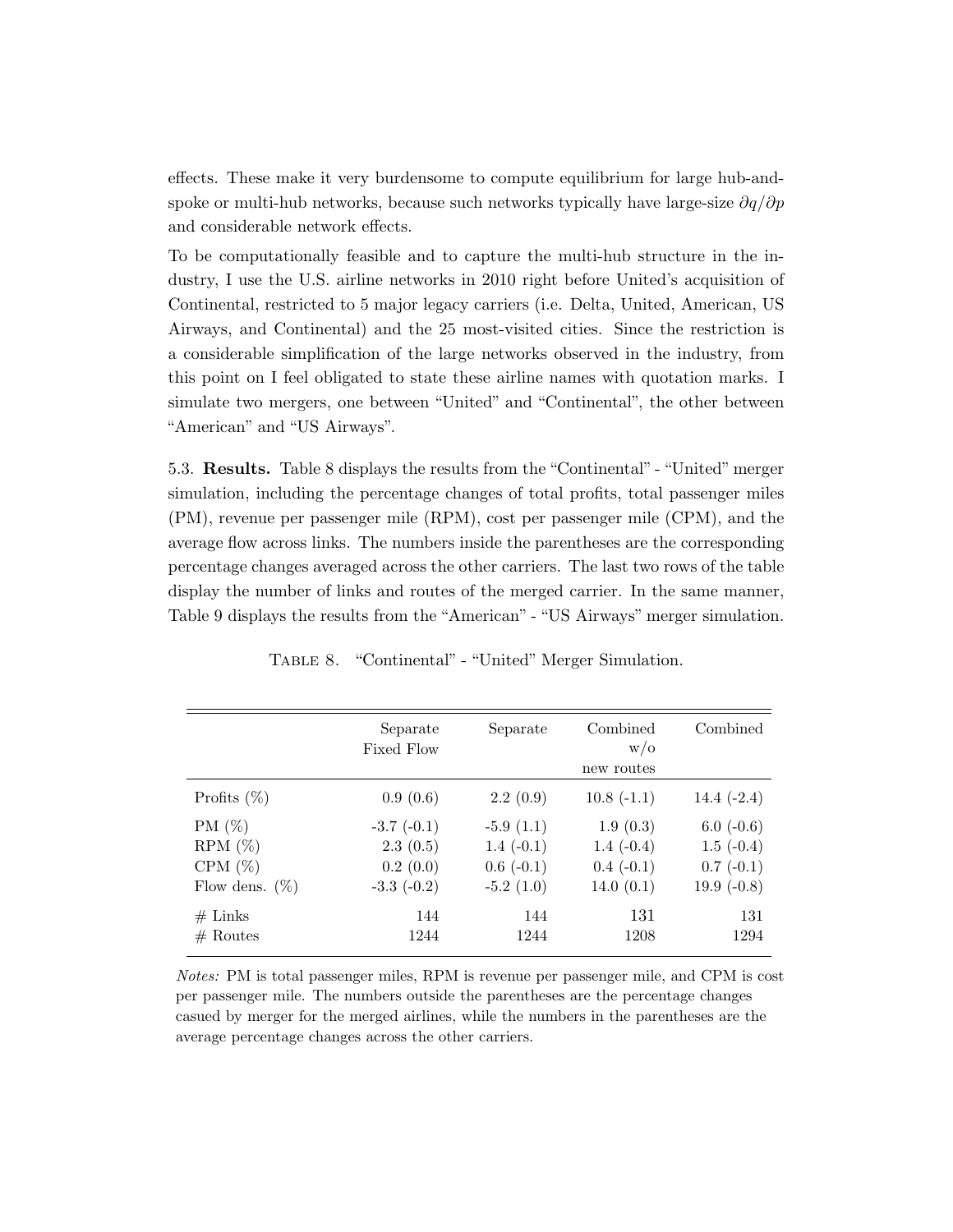effects. These make it very burdensome to compute equilibrium for large hub-andspoke or multi-hub networks, because such networks typically have large-size  $\partial q/\partial p$ and considerable network effects.

To be computationally feasible and to capture the multi-hub structure in the industry, I use the U.S. airline networks in 2010 right before United's acquisition of Continental, restricted to 5 major legacy carriers (i.e. Delta, United, American, US Airways, and Continental) and the 25 most-visited cities. Since the restriction is a considerable simplification of the large networks observed in the industry, from this point on I feel obligated to state these airline names with quotation marks. I simulate two mergers, one between "United" and "Continental", the other between "American" and "US Airways".

5.3. Results. Table 8 displays the results from the "Continental" - "United" merger simulation, including the percentage changes of total profits, total passenger miles (PM), revenue per passenger mile (RPM), cost per passenger mile (CPM), and the average flow across links. The numbers inside the parentheses are the corresponding percentage changes averaged across the other carriers. The last two rows of the table display the number of links and routes of the merged carrier. In the same manner, Table 9 displays the results from the "American" - "US Airways" merger simulation.

|                   | Separate<br>Fixed Flow | Separate    | Combined<br>W/O<br>new routes | Combined      |
|-------------------|------------------------|-------------|-------------------------------|---------------|
| Profits $(\%)$    | 0.9(0.6)               | 2.2(0.9)    | $10.8(-1.1)$                  | 14.4 $(-2.4)$ |
| PM $(\%)$         | $-3.7(-0.1)$           | $-5.9(1.1)$ | 1.9(0.3)                      | $6.0(-0.6)$   |
| $RPM (\%)$        | 2.3(0.5)               | $1.4(-0.1)$ | $1.4(-0.4)$                   | $1.5(-0.4)$   |
| CPM $(\%)$        | 0.2(0.0)               | $0.6(-0.1)$ | $0.4(-0.1)$                   | $0.7(-0.1)$   |
| Flow dens. $(\%)$ | $-3.3$ $(-0.2)$        | $-5.2(1.0)$ | 14.0(0.1)                     | 19.9 $(-0.8)$ |
| $#$ Links         | 144                    | 144         | 131                           | 131           |
| $#$ Routes        | 1244                   | 1244        | 1208                          | 1294          |

Table 8. "Continental" - "United" Merger Simulation.

Notes: PM is total passenger miles, RPM is revenue per passenger mile, and CPM is cost per passenger mile. The numbers outside the parentheses are the percentage changes casued by merger for the merged airlines, while the numbers in the parentheses are the average percentage changes across the other carriers.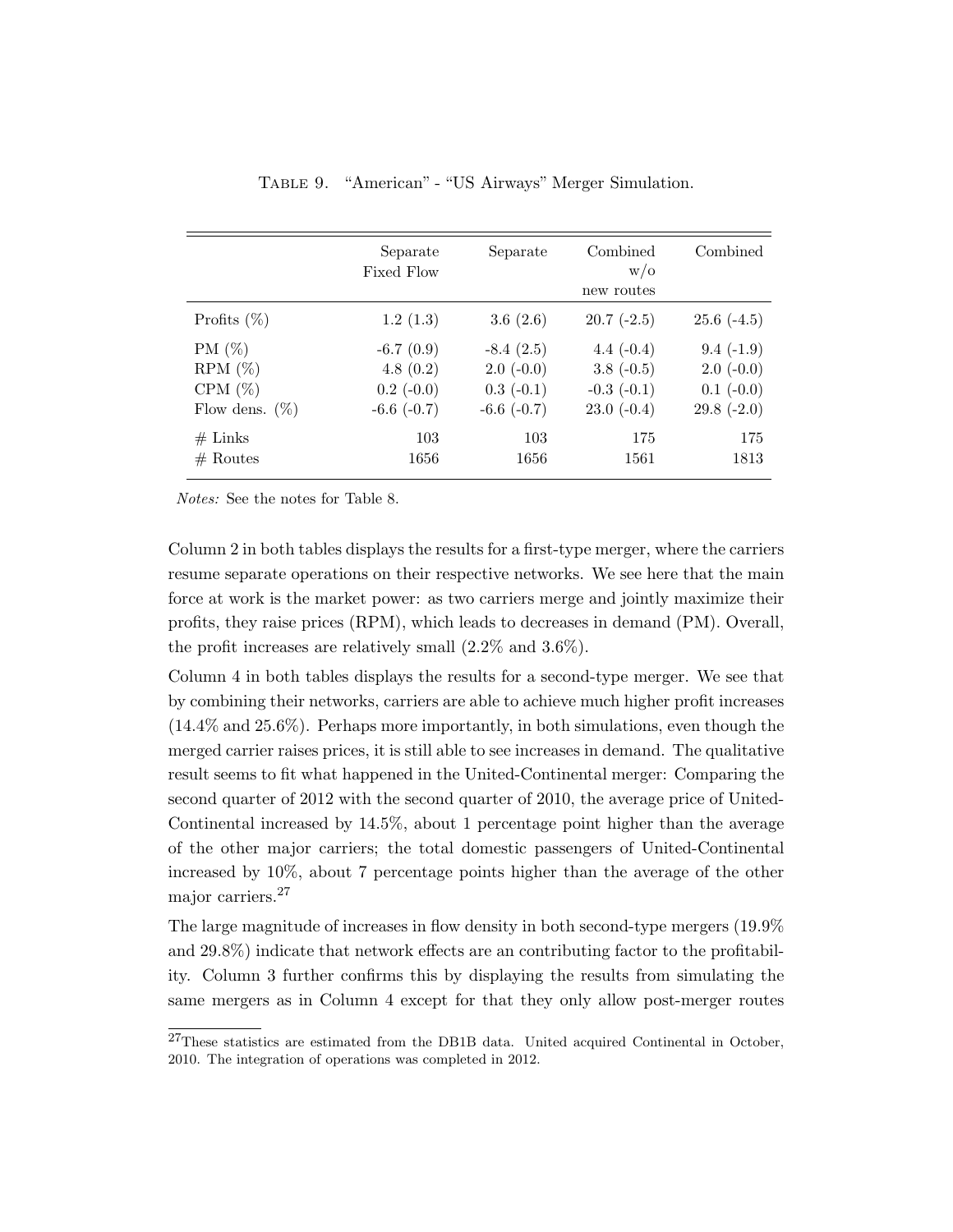|                   | Separate<br>Fixed Flow | Separate        | Combined<br>W/O<br>new routes | Combined     |
|-------------------|------------------------|-----------------|-------------------------------|--------------|
| Profits $(\%)$    | 1.2(1.3)               | 3.6 $(2.6)$     | $20.7(-2.5)$                  | $25.6(-4.5)$ |
| $PM (\%)$         | $-6.7(0.9)$            | $-8.4(2.5)$     | 4.4 $(-0.4)$                  | $9.4(-1.9)$  |
| $RPM (\%)$        | 4.8(0.2)               | $2.0(-0.0)$     | $3.8(-0.5)$                   | $2.0(-0.0)$  |
| CPM $(\%)$        | $0.2(-0.0)$            | $0.3(-0.1)$     | $-0.3$ $(-0.1)$               | $0.1(-0.0)$  |
| Flow dens. $(\%)$ | $-6.6$ $(-0.7)$        | $-6.6$ $(-0.7)$ | $23.0(-0.4)$                  | $29.8(-2.0)$ |
| $#$ Links         | 103                    | 103             | 175                           | 175          |
| $#$ Routes        | 1656                   | 1656            | 1561                          | 1813         |

Table 9. "American" - "US Airways" Merger Simulation.

Notes: See the notes for Table 8.

Column 2 in both tables displays the results for a first-type merger, where the carriers resume separate operations on their respective networks. We see here that the main force at work is the market power: as two carriers merge and jointly maximize their profits, they raise prices (RPM), which leads to decreases in demand (PM). Overall, the profit increases are relatively small (2.2% and 3.6%).

Column 4 in both tables displays the results for a second-type merger. We see that by combining their networks, carriers are able to achieve much higher profit increases (14.4% and 25.6%). Perhaps more importantly, in both simulations, even though the merged carrier raises prices, it is still able to see increases in demand. The qualitative result seems to fit what happened in the United-Continental merger: Comparing the second quarter of 2012 with the second quarter of 2010, the average price of United-Continental increased by 14.5%, about 1 percentage point higher than the average of the other major carriers; the total domestic passengers of United-Continental increased by 10%, about 7 percentage points higher than the average of the other major carriers.<sup>27</sup>

The large magnitude of increases in flow density in both second-type mergers (19.9% and 29.8%) indicate that network effects are an contributing factor to the profitability. Column 3 further confirms this by displaying the results from simulating the same mergers as in Column 4 except for that they only allow post-merger routes

<sup>&</sup>lt;sup>27</sup>These statistics are estimated from the DB1B data. United acquired Continental in October, 2010. The integration of operations was completed in 2012.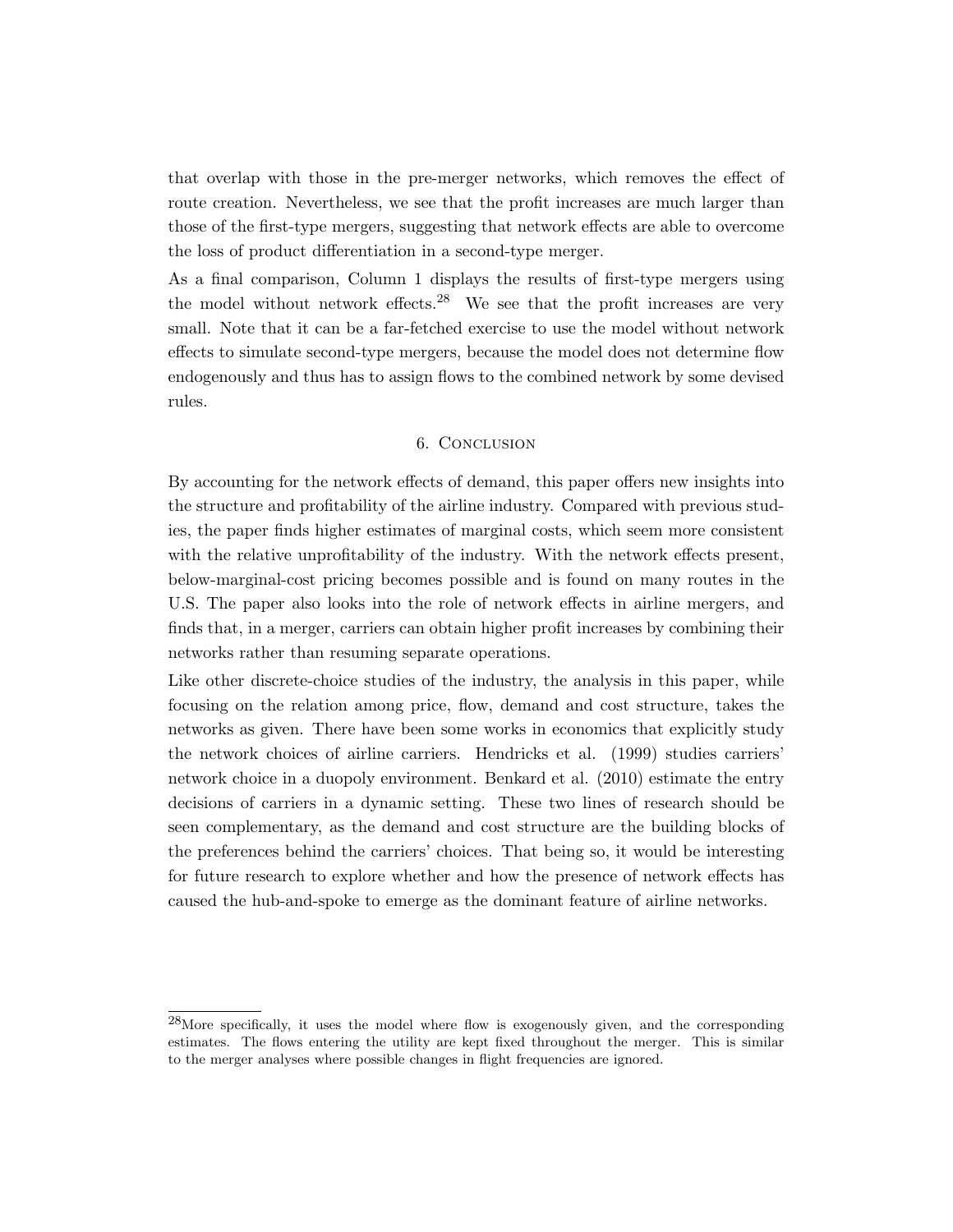that overlap with those in the pre-merger networks, which removes the effect of route creation. Nevertheless, we see that the profit increases are much larger than those of the first-type mergers, suggesting that network effects are able to overcome the loss of product differentiation in a second-type merger.

As a final comparison, Column 1 displays the results of first-type mergers using the model without network effects.<sup>28</sup> We see that the profit increases are very small. Note that it can be a far-fetched exercise to use the model without network effects to simulate second-type mergers, because the model does not determine flow endogenously and thus has to assign flows to the combined network by some devised rules.

### 6. Conclusion

By accounting for the network effects of demand, this paper offers new insights into the structure and profitability of the airline industry. Compared with previous studies, the paper finds higher estimates of marginal costs, which seem more consistent with the relative unprofitability of the industry. With the network effects present, below-marginal-cost pricing becomes possible and is found on many routes in the U.S. The paper also looks into the role of network effects in airline mergers, and finds that, in a merger, carriers can obtain higher profit increases by combining their networks rather than resuming separate operations.

Like other discrete-choice studies of the industry, the analysis in this paper, while focusing on the relation among price, flow, demand and cost structure, takes the networks as given. There have been some works in economics that explicitly study the network choices of airline carriers. Hendricks et al. (1999) studies carriers' network choice in a duopoly environment. Benkard et al. (2010) estimate the entry decisions of carriers in a dynamic setting. These two lines of research should be seen complementary, as the demand and cost structure are the building blocks of the preferences behind the carriers' choices. That being so, it would be interesting for future research to explore whether and how the presence of network effects has caused the hub-and-spoke to emerge as the dominant feature of airline networks.

 $^{28}$ More specifically, it uses the model where flow is exogenously given, and the corresponding estimates. The flows entering the utility are kept fixed throughout the merger. This is similar to the merger analyses where possible changes in flight frequencies are ignored.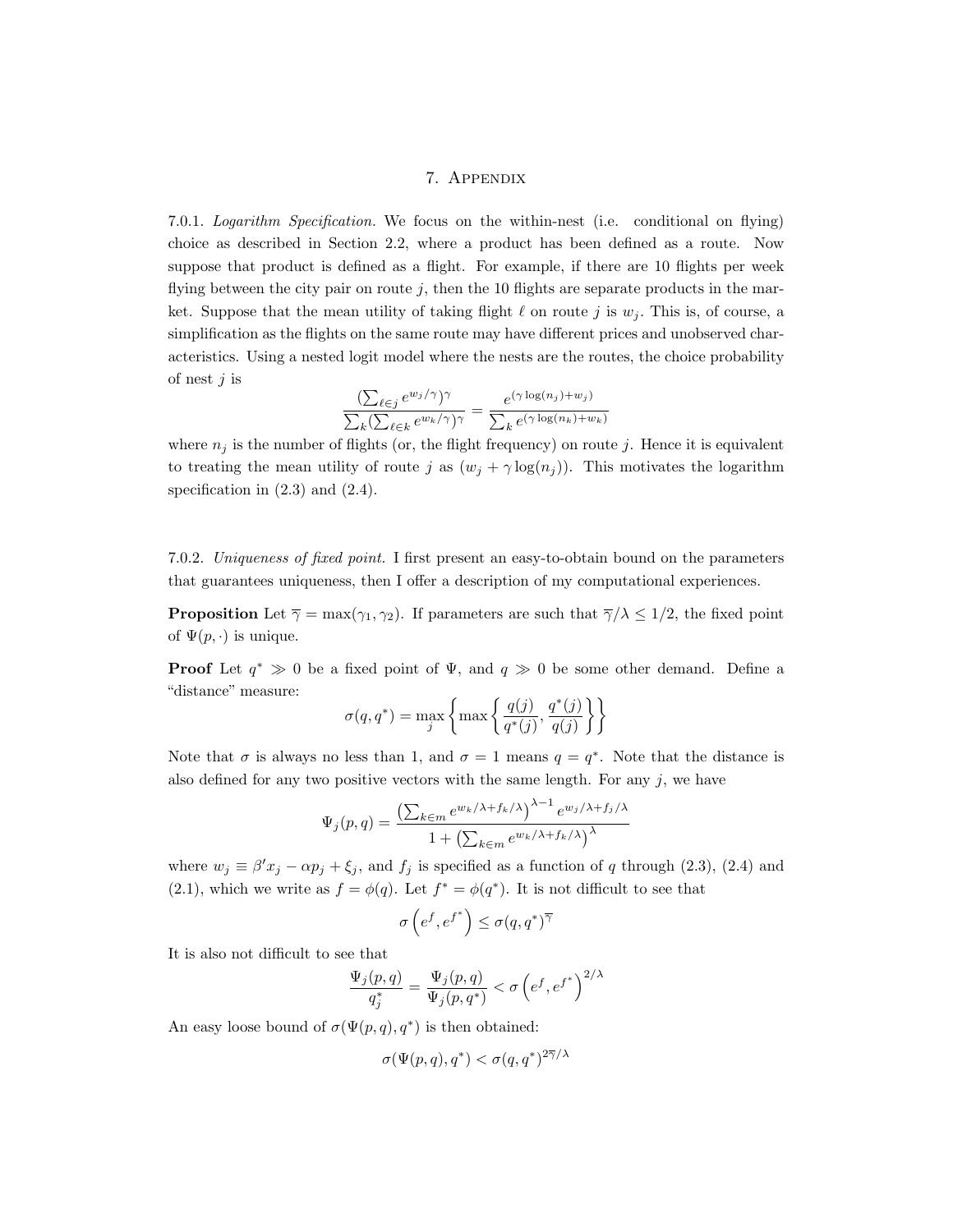# 7. Appendix

7.0.1. Logarithm Specification. We focus on the within-nest (i.e. conditional on flying) choice as described in Section 2.2, where a product has been defined as a route. Now suppose that product is defined as a flight. For example, if there are 10 flights per week flying between the city pair on route  $j$ , then the 10 flights are separate products in the market. Suppose that the mean utility of taking flight  $\ell$  on route j is  $w_i$ . This is, of course, a simplification as the flights on the same route may have different prices and unobserved characteristics. Using a nested logit model where the nests are the routes, the choice probability of nest  $j$  is

$$
\frac{\left(\sum_{\ell \in j} e^{w_j/\gamma}\right)^{\gamma}}{\sum_k \left(\sum_{\ell \in k} e^{w_k/\gamma}\right)^{\gamma}} = \frac{e^{(\gamma \log(n_j) + w_j)}}{\sum_k e^{(\gamma \log(n_k) + w_k)}}
$$

where  $n_j$  is the number of flights (or, the flight frequency) on route j. Hence it is equivalent to treating the mean utility of route j as  $(w_j + \gamma \log(n_j))$ . This motivates the logarithm specification in  $(2.3)$  and  $(2.4)$ .

7.0.2. Uniqueness of fixed point. I first present an easy-to-obtain bound on the parameters that guarantees uniqueness, then I offer a description of my computational experiences.

**Proposition** Let  $\overline{\gamma} = \max(\gamma_1, \gamma_2)$ . If parameters are such that  $\overline{\gamma}/\lambda \leq 1/2$ , the fixed point of  $\Psi(p, \cdot)$  is unique.

**Proof** Let  $q^* \gg 0$  be a fixed point of  $\Psi$ , and  $q \gg 0$  be some other demand. Define a "distance" measure:  $\mathbf{z}$  and  $\mathbf{z}$ 

$$
\sigma(q, q^*) = \max_{j} \left\{ \max \left\{ \frac{q(j)}{q^*(j)}, \frac{q^*(j)}{q(j)} \right\} \right\}
$$

Note that  $\sigma$  is always no less than 1, and  $\sigma = 1$  means  $q = q^*$ . Note that the distance is also defined for any two positive vectors with the same length. For any  $j$ , we have

$$
\Psi_j(p,q) = \frac{\left(\sum_{k \in m} e^{w_k/\lambda + f_k/\lambda}\right)^{\lambda - 1} e^{w_j/\lambda + f_j/\lambda}}{1 + \left(\sum_{k \in m} e^{w_k/\lambda + f_k/\lambda}\right)^{\lambda}}
$$

where  $w_j \equiv \beta' x_j - \alpha p_j + \xi_j$ , and  $f_j$  is specified as a function of q through (2.3), (2.4) and (2.1), which we write as  $f = \phi(q)$ . Let  $f^* = \phi(q^*)$ . It is not difficult to see that

$$
\sigma\left(e^f,e^{f^*}\right) \leq \sigma(q,q^*)^{\overline{\gamma}}
$$

It is also not difficult to see that

$$
\frac{\Psi_j(p,q)}{q_j^*} = \frac{\Psi_j(p,q)}{\Psi_j(p,q^*)} < \sigma \left(e^f, e^{f^*}\right)^{2/\lambda}
$$

An easy loose bound of  $\sigma(\Psi(p,q), q^*)$  is then obtained:

$$
\sigma(\Psi(p,q),q^*) < \sigma(q,q^*)^{2\overline{\gamma}/\lambda}
$$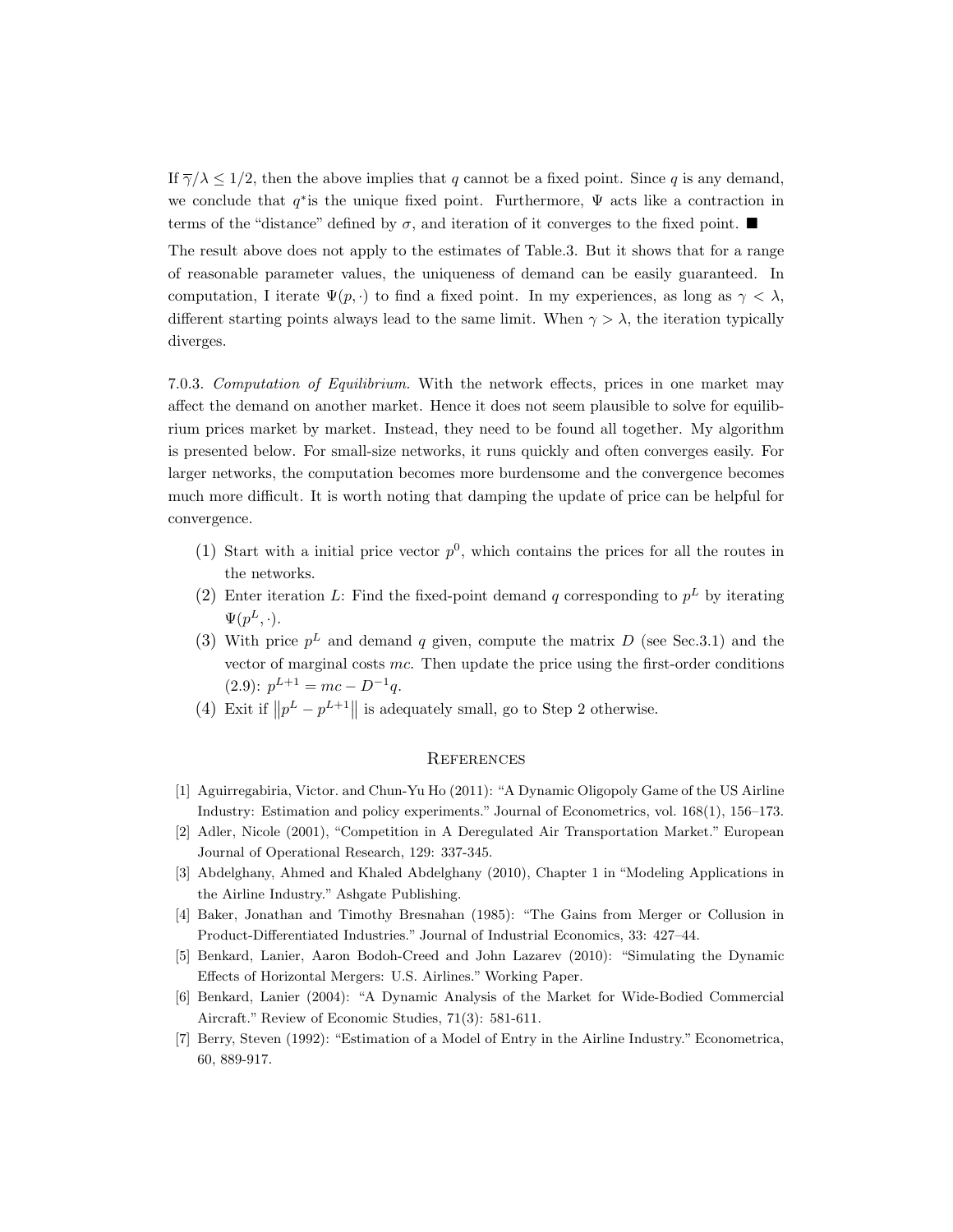If  $\overline{\gamma}/\lambda \leq 1/2$ , then the above implies that q cannot be a fixed point. Since q is any demand, we conclude that  $q^*$  is the unique fixed point. Furthermore,  $\Psi$  acts like a contraction in terms of the "distance" defined by  $\sigma$ , and iteration of it converges to the fixed point.

The result above does not apply to the estimates of Table.3. But it shows that for a range of reasonable parameter values, the uniqueness of demand can be easily guaranteed. In computation, I iterate  $\Psi(p, \cdot)$  to find a fixed point. In my experiences, as long as  $\gamma < \lambda$ , different starting points always lead to the same limit. When  $\gamma > \lambda$ , the iteration typically diverges.

7.0.3. Computation of Equilibrium. With the network effects, prices in one market may affect the demand on another market. Hence it does not seem plausible to solve for equilibrium prices market by market. Instead, they need to be found all together. My algorithm is presented below. For small-size networks, it runs quickly and often converges easily. For larger networks, the computation becomes more burdensome and the convergence becomes much more difficult. It is worth noting that damping the update of price can be helpful for convergence.

- (1) Start with a initial price vector  $p^0$ , which contains the prices for all the routes in the networks.
- (2) Enter iteration L: Find the fixed-point demand q corresponding to  $p<sup>L</sup>$  by iterating  $\Psi(p^L, \cdot).$
- (3) With price  $p<sup>L</sup>$  and demand q given, compute the matrix D (see Sec.3.1) and the vector of marginal costs  $mc$ . Then update the price using the first-order conditions  $(2.9)$ :  $p^{L+1} = mc - D^{-1}q$ .
- (4) Exit if  $||p^L p^{L+1}||$  is adequately small, go to Step 2 otherwise.

#### **REFERENCES**

- [1] Aguirregabiria, Victor. and Chun-Yu Ho (2011): "A Dynamic Oligopoly Game of the US Airline Industry: Estimation and policy experiments." Journal of Econometrics, vol. 168(1), 156–173.
- [2] Adler, Nicole (2001), "Competition in A Deregulated Air Transportation Market." European Journal of Operational Research, 129: 337-345.
- [3] Abdelghany, Ahmed and Khaled Abdelghany (2010), Chapter 1 in "Modeling Applications in the Airline Industry." Ashgate Publishing.
- [4] Baker, Jonathan and Timothy Bresnahan (1985): "The Gains from Merger or Collusion in Product-Differentiated Industries." Journal of Industrial Economics, 33: 427–44.
- [5] Benkard, Lanier, Aaron Bodoh-Creed and John Lazarev (2010): "Simulating the Dynamic Effects of Horizontal Mergers: U.S. Airlines." Working Paper.
- [6] Benkard, Lanier (2004): "A Dynamic Analysis of the Market for Wide-Bodied Commercial Aircraft." Review of Economic Studies, 71(3): 581-611.
- [7] Berry, Steven (1992): "Estimation of a Model of Entry in the Airline Industry." Econometrica, 60, 889-917.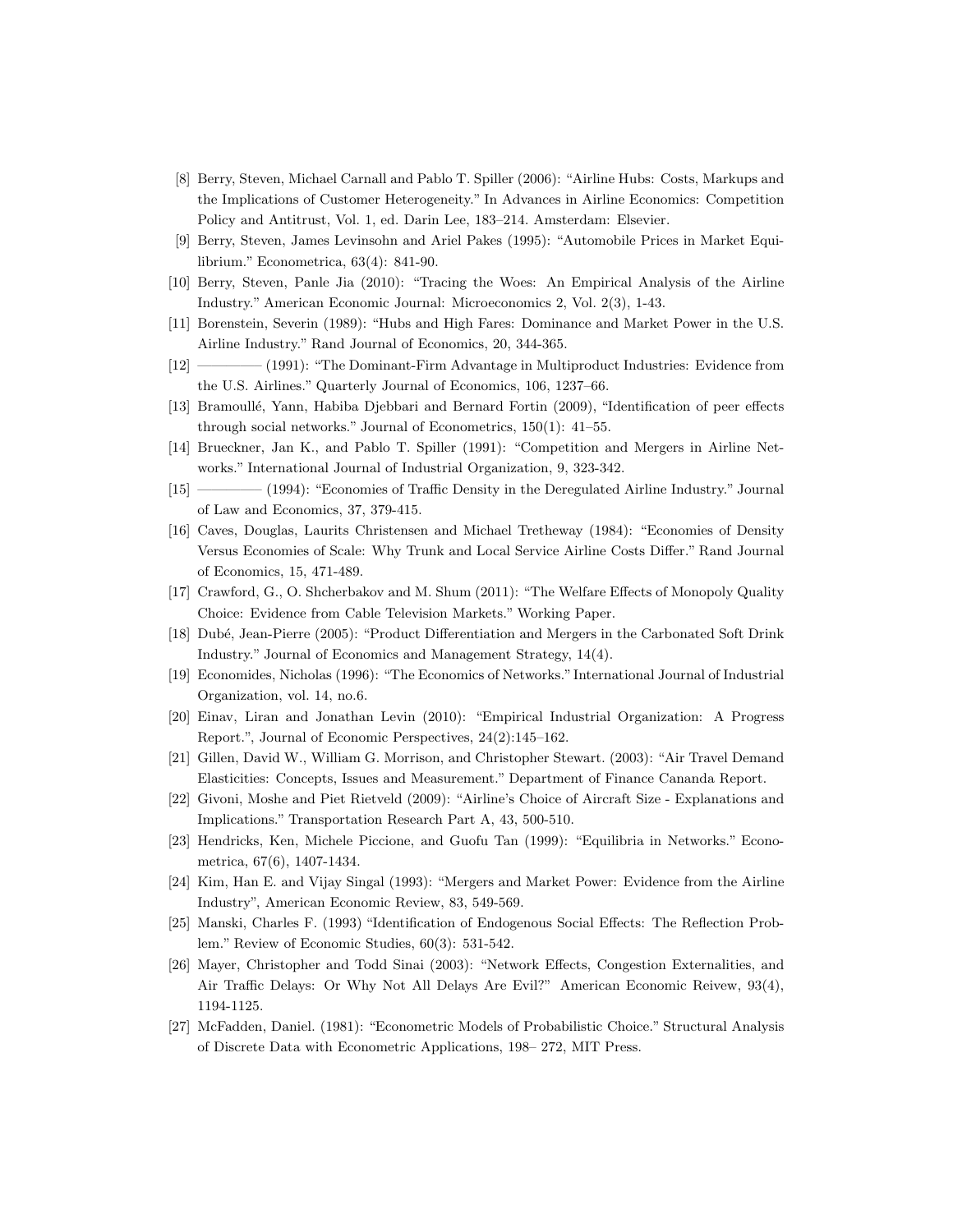- [8] Berry, Steven, Michael Carnall and Pablo T. Spiller (2006): "Airline Hubs: Costs, Markups and the Implications of Customer Heterogeneity." In Advances in Airline Economics: Competition Policy and Antitrust, Vol. 1, ed. Darin Lee, 183–214. Amsterdam: Elsevier.
- [9] Berry, Steven, James Levinsohn and Ariel Pakes (1995): "Automobile Prices in Market Equilibrium." Econometrica, 63(4): 841-90.
- [10] Berry, Steven, Panle Jia (2010): "Tracing the Woes: An Empirical Analysis of the Airline Industry." American Economic Journal: Microeconomics 2, Vol. 2(3), 1-43.
- [11] Borenstein, Severin (1989): "Hubs and High Fares: Dominance and Market Power in the U.S. Airline Industry." Rand Journal of Economics, 20, 344-365.
- [12] ————– (1991): "The Dominant-Firm Advantage in Multiproduct Industries: Evidence from the U.S. Airlines." Quarterly Journal of Economics, 106, 1237–66.
- [13] Bramoull´e, Yann, Habiba Djebbari and Bernard Fortin (2009), "Identification of peer effects through social networks." Journal of Econometrics, 150(1): 41–55.
- [14] Brueckner, Jan K., and Pablo T. Spiller (1991): "Competition and Mergers in Airline Networks." International Journal of Industrial Organization, 9, 323-342.
- [15] ————– (1994): "Economies of Traffic Density in the Deregulated Airline Industry." Journal of Law and Economics, 37, 379-415.
- [16] Caves, Douglas, Laurits Christensen and Michael Tretheway (1984): "Economies of Density Versus Economies of Scale: Why Trunk and Local Service Airline Costs Differ." Rand Journal of Economics, 15, 471-489.
- [17] Crawford, G., O. Shcherbakov and M. Shum (2011): "The Welfare Effects of Monopoly Quality Choice: Evidence from Cable Television Markets." Working Paper.
- [18] Dubé, Jean-Pierre (2005): "Product Differentiation and Mergers in the Carbonated Soft Drink Industry." Journal of Economics and Management Strategy, 14(4).
- [19] Economides, Nicholas (1996): "The Economics of Networks." International Journal of Industrial Organization, vol. 14, no.6.
- [20] Einav, Liran and Jonathan Levin (2010): "Empirical Industrial Organization: A Progress Report.", Journal of Economic Perspectives, 24(2):145–162.
- [21] Gillen, David W., William G. Morrison, and Christopher Stewart. (2003): "Air Travel Demand Elasticities: Concepts, Issues and Measurement." Department of Finance Cananda Report.
- [22] Givoni, Moshe and Piet Rietveld (2009): "Airline's Choice of Aircraft Size Explanations and Implications." Transportation Research Part A, 43, 500-510.
- [23] Hendricks, Ken, Michele Piccione, and Guofu Tan (1999): "Equilibria in Networks." Econometrica, 67(6), 1407-1434.
- [24] Kim, Han E. and Vijay Singal (1993): "Mergers and Market Power: Evidence from the Airline Industry", American Economic Review, 83, 549-569.
- [25] Manski, Charles F. (1993) "Identification of Endogenous Social Effects: The Reflection Problem." Review of Economic Studies, 60(3): 531-542.
- [26] Mayer, Christopher and Todd Sinai (2003): "Network Effects, Congestion Externalities, and Air Traffic Delays: Or Why Not All Delays Are Evil?" American Economic Reivew, 93(4), 1194-1125.
- [27] McFadden, Daniel. (1981): "Econometric Models of Probabilistic Choice." Structural Analysis of Discrete Data with Econometric Applications, 198– 272, MIT Press.